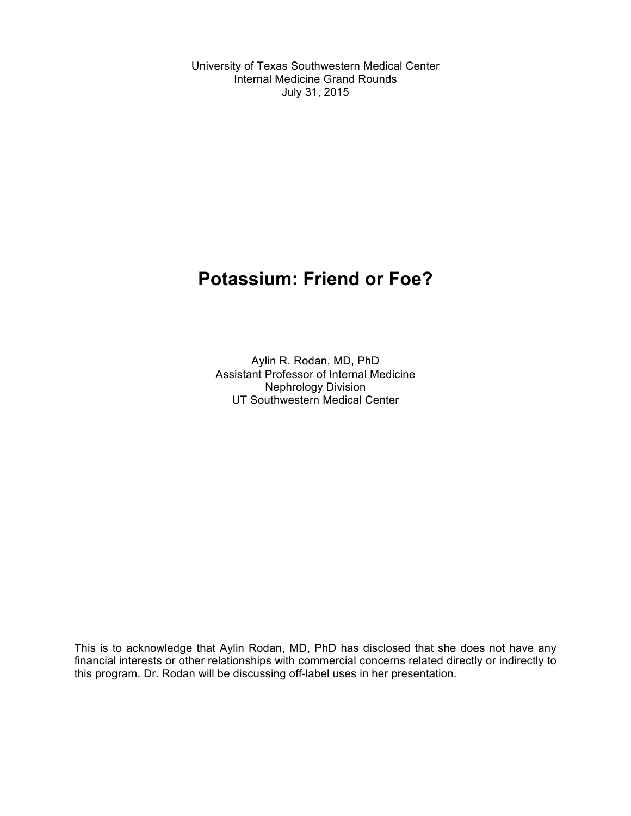University of Texas Southwestern Medical Center Internal Medicine Grand Rounds July 31, 2015

# **Potassium: Friend or Foe?**

Aylin R. Rodan, MD, PhD Assistant Professor of Internal Medicine Nephrology Division UT Southwestern Medical Center

This is to acknowledge that Aylin Rodan, MD, PhD has disclosed that she does not have any financial interests or other relationships with commercial concerns related directly or indirectly to this program. Dr. Rodan will be discussing off-label uses in her presentation.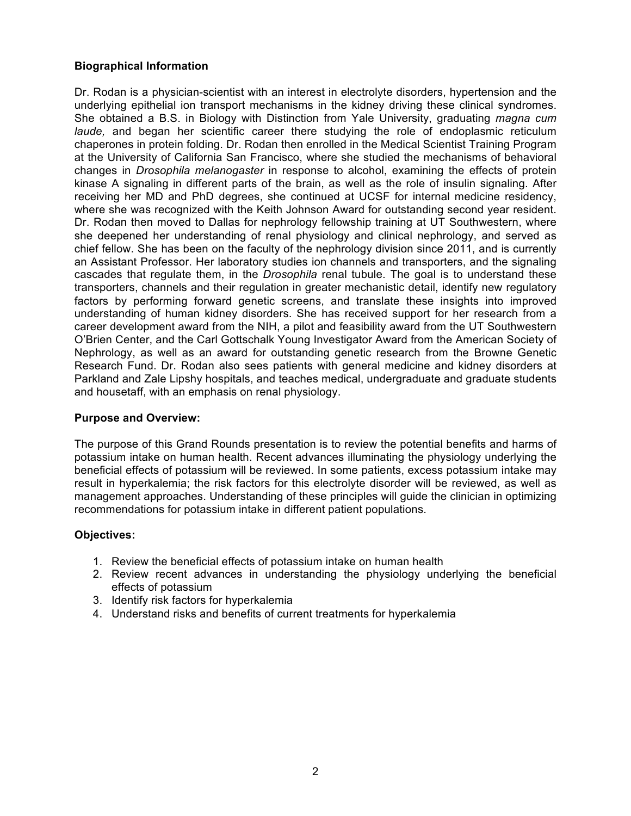# **Biographical Information**

Dr. Rodan is a physician-scientist with an interest in electrolyte disorders, hypertension and the underlying epithelial ion transport mechanisms in the kidney driving these clinical syndromes. She obtained a B.S. in Biology with Distinction from Yale University, graduating *magna cum laude,* and began her scientific career there studying the role of endoplasmic reticulum chaperones in protein folding. Dr. Rodan then enrolled in the Medical Scientist Training Program at the University of California San Francisco, where she studied the mechanisms of behavioral changes in *Drosophila melanogaster* in response to alcohol, examining the effects of protein kinase A signaling in different parts of the brain, as well as the role of insulin signaling. After receiving her MD and PhD degrees, she continued at UCSF for internal medicine residency, where she was recognized with the Keith Johnson Award for outstanding second year resident. Dr. Rodan then moved to Dallas for nephrology fellowship training at UT Southwestern, where she deepened her understanding of renal physiology and clinical nephrology, and served as chief fellow. She has been on the faculty of the nephrology division since 2011, and is currently an Assistant Professor. Her laboratory studies ion channels and transporters, and the signaling cascades that regulate them, in the *Drosophila* renal tubule. The goal is to understand these transporters, channels and their regulation in greater mechanistic detail, identify new regulatory factors by performing forward genetic screens, and translate these insights into improved understanding of human kidney disorders. She has received support for her research from a career development award from the NIH, a pilot and feasibility award from the UT Southwestern O'Brien Center, and the Carl Gottschalk Young Investigator Award from the American Society of Nephrology, as well as an award for outstanding genetic research from the Browne Genetic Research Fund. Dr. Rodan also sees patients with general medicine and kidney disorders at Parkland and Zale Lipshy hospitals, and teaches medical, undergraduate and graduate students and housetaff, with an emphasis on renal physiology.

#### **Purpose and Overview:**

The purpose of this Grand Rounds presentation is to review the potential benefits and harms of potassium intake on human health. Recent advances illuminating the physiology underlying the beneficial effects of potassium will be reviewed. In some patients, excess potassium intake may result in hyperkalemia; the risk factors for this electrolyte disorder will be reviewed, as well as management approaches. Understanding of these principles will guide the clinician in optimizing recommendations for potassium intake in different patient populations.

#### **Objectives:**

- 1. Review the beneficial effects of potassium intake on human health
- 2. Review recent advances in understanding the physiology underlying the beneficial effects of potassium
- 3. Identify risk factors for hyperkalemia
- 4. Understand risks and benefits of current treatments for hyperkalemia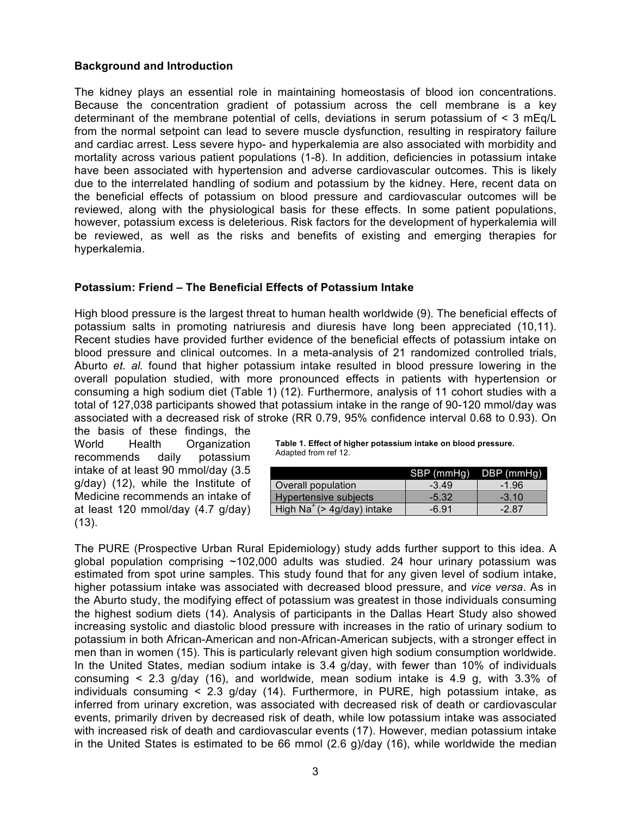## **Background and Introduction**

The kidney plays an essential role in maintaining homeostasis of blood ion concentrations. Because the concentration gradient of potassium across the cell membrane is a key determinant of the membrane potential of cells, deviations in serum potassium of < 3 mEq/L from the normal setpoint can lead to severe muscle dysfunction, resulting in respiratory failure and cardiac arrest. Less severe hypo- and hyperkalemia are also associated with morbidity and mortality across various patient populations (1-8). In addition, deficiencies in potassium intake have been associated with hypertension and adverse cardiovascular outcomes. This is likely due to the interrelated handling of sodium and potassium by the kidney. Here, recent data on the beneficial effects of potassium on blood pressure and cardiovascular outcomes will be reviewed, along with the physiological basis for these effects. In some patient populations, however, potassium excess is deleterious. Risk factors for the development of hyperkalemia will be reviewed, as well as the risks and benefits of existing and emerging therapies for hyperkalemia.

## **Potassium: Friend – The Beneficial Effects of Potassium Intake**

High blood pressure is the largest threat to human health worldwide (9). The beneficial effects of potassium salts in promoting natriuresis and diuresis have long been appreciated (10,11). Recent studies have provided further evidence of the beneficial effects of potassium intake on blood pressure and clinical outcomes. In a meta-analysis of 21 randomized controlled trials, Aburto *et. al.* found that higher potassium intake resulted in blood pressure lowering in the overall population studied, with more pronounced effects in patients with hypertension or consuming a high sodium diet (Table 1) (12). Furthermore, analysis of 11 cohort studies with a total of 127,038 participants showed that potassium intake in the range of 90-120 mmol/day was associated with a decreased risk of stroke (RR 0.79, 95% confidence interval 0.68 to 0.93). On

the basis of these findings, the World Health Organization recommends daily potassium intake of at least 90 mmol/day (3.5 g/day) (12), while the Institute of Medicine recommends an intake of at least 120 mmol/day (4.7 g/day)  $(13)$ .

**Table 1. Effect of higher potassium intake on blood pressure.**  Adapted from ref 12.

|                                        | SBP (mmHg) DBP (mmHg) |         |
|----------------------------------------|-----------------------|---------|
| Overall population                     | $-3.49$               | $-1.96$ |
| Hypertensive subjects                  | $-5.32$               | $-3.10$ |
| High Na <sup>+</sup> (> 4g/day) intake | $-6.91$               | $-2.87$ |

The PURE (Prospective Urban Rural Epidemiology) study adds further support to this idea. A global population comprising ~102,000 adults was studied. 24 hour urinary potassium was estimated from spot urine samples. This study found that for any given level of sodium intake, higher potassium intake was associated with decreased blood pressure, and *vice versa*. As in the Aburto study, the modifying effect of potassium was greatest in those individuals consuming the highest sodium diets (14). Analysis of participants in the Dallas Heart Study also showed increasing systolic and diastolic blood pressure with increases in the ratio of urinary sodium to potassium in both African-American and non-African-American subjects, with a stronger effect in men than in women (15). This is particularly relevant given high sodium consumption worldwide. In the United States, median sodium intake is 3.4 g/day, with fewer than 10% of individuals consuming < 2.3 g/day (16), and worldwide, mean sodium intake is 4.9 g, with 3.3% of individuals consuming < 2.3 g/day (14). Furthermore, in PURE, high potassium intake, as inferred from urinary excretion, was associated with decreased risk of death or cardiovascular events, primarily driven by decreased risk of death, while low potassium intake was associated with increased risk of death and cardiovascular events (17). However, median potassium intake in the United States is estimated to be 66 mmol (2.6 g)/day (16), while worldwide the median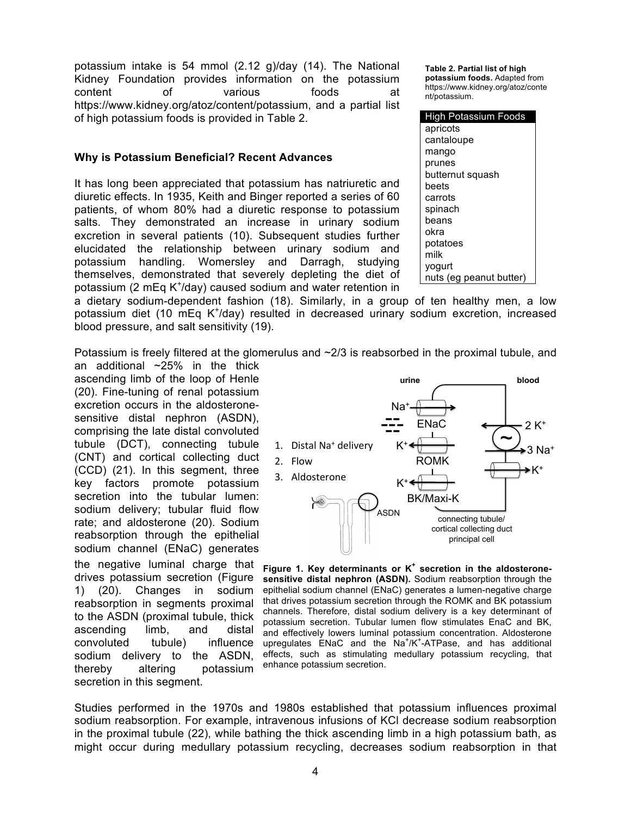potassium intake is 54 mmol (2.12 g)/day (14). The National Kidney Foundation provides information on the potassium content of various foods at https://www.kidney.org/atoz/content/potassium, and a partial list of high potassium foods is provided in Table 2.

#### **Why is Potassium Beneficial? Recent Advances**

It has long been appreciated that potassium has natriuretic and diuretic effects. In 1935, Keith and Binger reported a series of 60 patients, of whom 80% had a diuretic response to potassium salts. They demonstrated an increase in urinary sodium excretion in several patients (10). Subsequent studies further elucidated the relationship between urinary sodium and potassium handling. Womersley and Darragh, studying themselves, demonstrated that severely depleting the diet of potassium (2 mEq K<sup>+</sup>/day) caused sodium and water retention in

**Table 2. Partial list of high potassium foods.** Adapted from https://www.kidney.org/atoz/conte nt/potassium.

| <b>High Potassium Foods</b> |  |
|-----------------------------|--|
| apricots                    |  |
| cantaloupe                  |  |
| mango                       |  |
| prunes                      |  |
| butternut squash            |  |
| beets                       |  |
| carrots                     |  |
| spinach                     |  |
| beans                       |  |
| okra                        |  |
| potatoes                    |  |
| milk                        |  |
| yogurt                      |  |
| nuts (eg peanut butter)     |  |

a dietary sodium-dependent fashion (18). Similarly, in a group of ten healthy men, a low potassium diet (10 mEq K<sup>+</sup>/day) resulted in decreased urinary sodium excretion, increased blood pressure, and salt sensitivity (19).

Potassium is freely filtered at the glomerulus and  $\sim$ 2/3 is reabsorbed in the proximal tubule, and

an additional  $~25\%$  in the thick ascending limb of the loop of Henle (20). Fine-tuning of renal potassium excretion occurs in the aldosteronesensitive distal nephron (ASDN), comprising the late distal convoluted tubule (DCT), connecting tubule (CNT) and cortical collecting duct (CCD) (21). In this segment, three key factors promote potassium secretion into the tubular lumen: sodium delivery; tubular fluid flow rate; and aldosterone (20). Sodium reabsorption through the epithelial sodium channel (ENaC) generates the negative luminal charge that drives potassium secretion (Figure 1) (20). Changes in sodium reabsorption in segments proximal to the ASDN (proximal tubule, thick ascending limb, and distal convoluted tubule) influence sodium delivery to the ASDN, thereby altering potassium secretion in this segment.



**Figure 1. Key determinants or K<sup>+</sup> secretion in the aldosteronesensitive distal nephron (ASDN).** Sodium reabsorption through the epithelial sodium channel (ENaC) generates a lumen-negative charge that drives potassium secretion through the ROMK and BK potassium channels. Therefore, distal sodium delivery is a key determinant of potassium secretion. Tubular lumen flow stimulates EnaC and BK, and effectively lowers luminal potassium concentration. Aldosterone upregulates  $EMaC$  and the  $Na^{+}/K^{+}$ -ATPase, and has additional effects, such as stimulating medullary potassium recycling, that enhance potassium secretion.

Studies performed in the 1970s and 1980s established that potassium influences proximal sodium reabsorption. For example, intravenous infusions of KCl decrease sodium reabsorption in the proximal tubule (22), while bathing the thick ascending limb in a high potassium bath, as might occur during medullary potassium recycling, decreases sodium reabsorption in that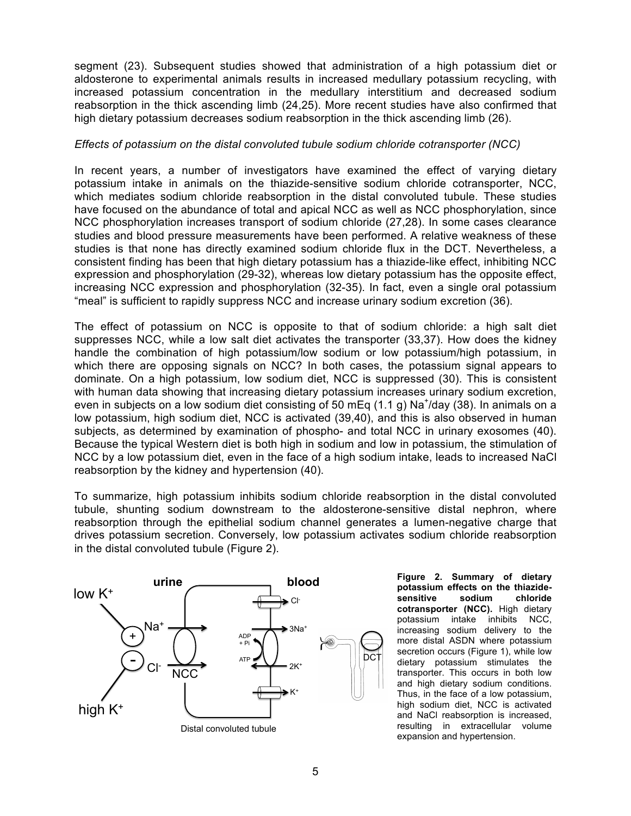segment (23). Subsequent studies showed that administration of a high potassium diet or aldosterone to experimental animals results in increased medullary potassium recycling, with increased potassium concentration in the medullary interstitium and decreased sodium reabsorption in the thick ascending limb (24,25). More recent studies have also confirmed that high dietary potassium decreases sodium reabsorption in the thick ascending limb (26).

## *Effects of potassium on the distal convoluted tubule sodium chloride cotransporter (NCC)*

In recent years, a number of investigators have examined the effect of varying dietary potassium intake in animals on the thiazide-sensitive sodium chloride cotransporter, NCC, which mediates sodium chloride reabsorption in the distal convoluted tubule. These studies have focused on the abundance of total and apical NCC as well as NCC phosphorylation, since NCC phosphorylation increases transport of sodium chloride (27,28). In some cases clearance studies and blood pressure measurements have been performed. A relative weakness of these studies is that none has directly examined sodium chloride flux in the DCT. Nevertheless, a consistent finding has been that high dietary potassium has a thiazide-like effect, inhibiting NCC expression and phosphorylation (29-32), whereas low dietary potassium has the opposite effect, increasing NCC expression and phosphorylation (32-35). In fact, even a single oral potassium "meal" is sufficient to rapidly suppress NCC and increase urinary sodium excretion (36).

The effect of potassium on NCC is opposite to that of sodium chloride: a high salt diet suppresses NCC, while a low salt diet activates the transporter (33,37). How does the kidney handle the combination of high potassium/low sodium or low potassium/high potassium, in which there are opposing signals on NCC? In both cases, the potassium signal appears to dominate. On a high potassium, low sodium diet, NCC is suppressed (30). This is consistent with human data showing that increasing dietary potassium increases urinary sodium excretion, even in subjects on a low sodium diet consisting of 50 mEq (1.1 g) Na<sup>+</sup>/day (38). In animals on a low potassium, high sodium diet, NCC is activated (39,40), and this is also observed in human subjects, as determined by examination of phospho- and total NCC in urinary exosomes (40). Because the typical Western diet is both high in sodium and low in potassium, the stimulation of NCC by a low potassium diet, even in the face of a high sodium intake, leads to increased NaCl reabsorption by the kidney and hypertension (40).

To summarize, high potassium inhibits sodium chloride reabsorption in the distal convoluted tubule, shunting sodium downstream to the aldosterone-sensitive distal nephron, where reabsorption through the epithelial sodium channel generates a lumen-negative charge that drives potassium secretion. Conversely, low potassium activates sodium chloride reabsorption in the distal convoluted tubule (Figure 2).



**Figure 2. Summary of dietary potassium effects on the thiazidesensitive sodium chloride cotransporter (NCC).** High dietary potassium intake inhibits NCC, increasing sodium delivery to the more distal ASDN where potassium secretion occurs (Figure 1), while low dietary potassium stimulates the transporter. This occurs in both low and high dietary sodium conditions. Thus, in the face of a low potassium, high sodium diet, NCC is activated and NaCl reabsorption is increased, resulting in extracellular volume expansion and hypertension.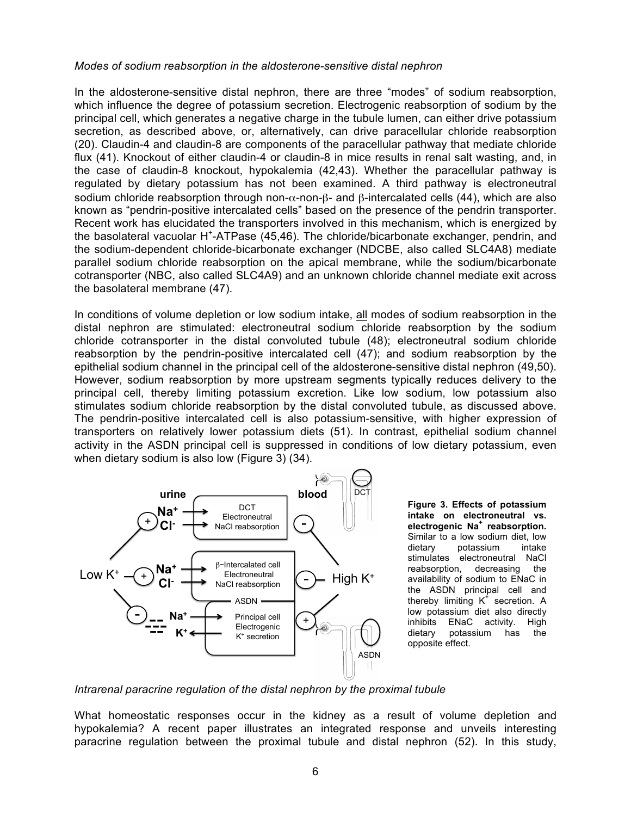#### *Modes of sodium reabsorption in the aldosterone-sensitive distal nephron*

In the aldosterone-sensitive distal nephron, there are three "modes" of sodium reabsorption, which influence the degree of potassium secretion. Electrogenic reabsorption of sodium by the principal cell, which generates a negative charge in the tubule lumen, can either drive potassium secretion, as described above, or, alternatively, can drive paracellular chloride reabsorption (20). Claudin-4 and claudin-8 are components of the paracellular pathway that mediate chloride flux (41). Knockout of either claudin-4 or claudin-8 in mice results in renal salt wasting, and, in the case of claudin-8 knockout, hypokalemia (42,43). Whether the paracellular pathway is regulated by dietary potassium has not been examined. A third pathway is electroneutral sodium chloride reabsorption through non- $\alpha$ -non- $\beta$ - and  $\beta$ -intercalated cells (44), which are also known as "pendrin-positive intercalated cells" based on the presence of the pendrin transporter. Recent work has elucidated the transporters involved in this mechanism, which is energized by the basolateral vacuolar H<sup>+</sup>-ATPase (45,46). The chloride/bicarbonate exchanger, pendrin, and the sodium-dependent chloride-bicarbonate exchanger (NDCBE, also called SLC4A8) mediate parallel sodium chloride reabsorption on the apical membrane, while the sodium/bicarbonate cotransporter (NBC, also called SLC4A9) and an unknown chloride channel mediate exit across the basolateral membrane (47).

In conditions of volume depletion or low sodium intake, all modes of sodium reabsorption in the distal nephron are stimulated: electroneutral sodium chloride reabsorption by the sodium chloride cotransporter in the distal convoluted tubule (48); electroneutral sodium chloride reabsorption by the pendrin-positive intercalated cell (47); and sodium reabsorption by the epithelial sodium channel in the principal cell of the aldosterone-sensitive distal nephron (49,50). However, sodium reabsorption by more upstream segments typically reduces delivery to the principal cell, thereby limiting potassium excretion. Like low sodium, low potassium also stimulates sodium chloride reabsorption by the distal convoluted tubule, as discussed above. The pendrin-positive intercalated cell is also potassium-sensitive, with higher expression of transporters on relatively lower potassium diets (51). In contrast, epithelial sodium channel activity in the ASDN principal cell is suppressed in conditions of low dietary potassium, even when dietary sodium is also low (Figure 3) (34).



**Figure 3. Effects of potassium intake on electroneutral vs. electrogenic Na<sup>+</sup> reabsorption.** Similar to a low sodium diet, low dietary potassium intake stimulates electroneutral NaCl reabsorption, decreasing the availability of sodium to ENaC in the ASDN principal cell and thereby limiting  $K^+$  secretion. A low potassium diet also directly inhibits ENaC activity. High dietary potassium has the opposite effect.

*Intrarenal paracrine regulation of the distal nephron by the proximal tubule*

What homeostatic responses occur in the kidney as a result of volume depletion and hypokalemia? A recent paper illustrates an integrated response and unveils interesting paracrine regulation between the proximal tubule and distal nephron (52). In this study,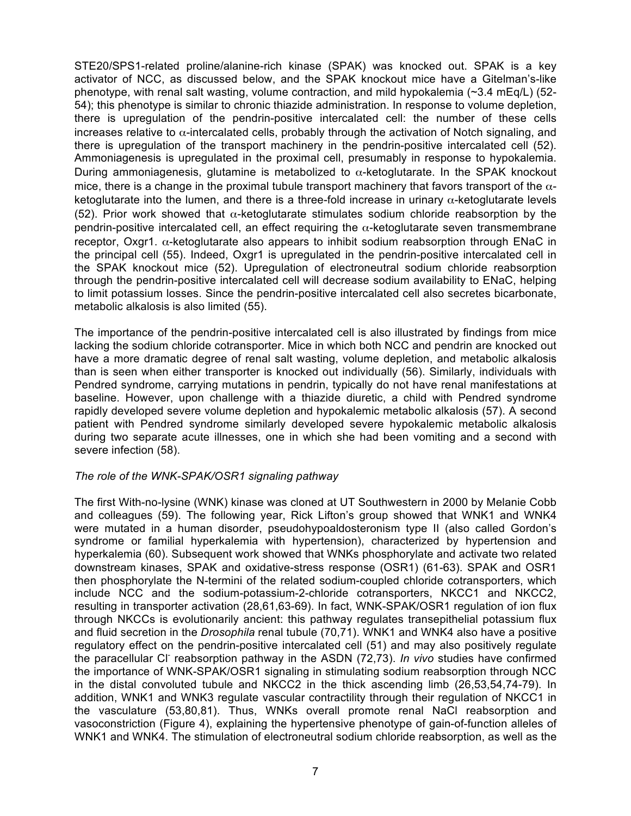STE20/SPS1-related proline/alanine-rich kinase (SPAK) was knocked out. SPAK is a key activator of NCC, as discussed below, and the SPAK knockout mice have a Gitelman's-like phenotype, with renal salt wasting, volume contraction, and mild hypokalemia (~3.4 mEq/L) (52- 54); this phenotype is similar to chronic thiazide administration. In response to volume depletion, there is upregulation of the pendrin-positive intercalated cell: the number of these cells increases relative to  $\alpha$ -intercalated cells, probably through the activation of Notch signaling, and there is upregulation of the transport machinery in the pendrin-positive intercalated cell (52). Ammoniagenesis is upregulated in the proximal cell, presumably in response to hypokalemia. During ammoniagenesis, glutamine is metabolized to  $\alpha$ -ketoglutarate. In the SPAK knockout mice, there is a change in the proximal tubule transport machinery that favors transport of the  $\alpha$ ketoglutarate into the lumen, and there is a three-fold increase in urinary  $\alpha$ -ketoglutarate levels (52). Prior work showed that  $\alpha$ -ketoglutarate stimulates sodium chloride reabsorption by the pendrin-positive intercalated cell, an effect requiring the  $\alpha$ -ketoglutarate seven transmembrane receptor. Oxgr1.  $\alpha$ -ketoglutarate also appears to inhibit sodium reabsorption through ENaC in the principal cell (55). Indeed, Oxgr1 is upregulated in the pendrin-positive intercalated cell in the SPAK knockout mice (52). Upregulation of electroneutral sodium chloride reabsorption through the pendrin-positive intercalated cell will decrease sodium availability to ENaC, helping to limit potassium losses. Since the pendrin-positive intercalated cell also secretes bicarbonate, metabolic alkalosis is also limited (55).

The importance of the pendrin-positive intercalated cell is also illustrated by findings from mice lacking the sodium chloride cotransporter. Mice in which both NCC and pendrin are knocked out have a more dramatic degree of renal salt wasting, volume depletion, and metabolic alkalosis than is seen when either transporter is knocked out individually (56). Similarly, individuals with Pendred syndrome, carrying mutations in pendrin, typically do not have renal manifestations at baseline. However, upon challenge with a thiazide diuretic, a child with Pendred syndrome rapidly developed severe volume depletion and hypokalemic metabolic alkalosis (57). A second patient with Pendred syndrome similarly developed severe hypokalemic metabolic alkalosis during two separate acute illnesses, one in which she had been vomiting and a second with severe infection (58).

#### *The role of the WNK-SPAK/OSR1 signaling pathway*

The first With-no-lysine (WNK) kinase was cloned at UT Southwestern in 2000 by Melanie Cobb and colleagues (59). The following year, Rick Lifton's group showed that WNK1 and WNK4 were mutated in a human disorder, pseudohypoaldosteronism type II (also called Gordon's syndrome or familial hyperkalemia with hypertension), characterized by hypertension and hyperkalemia (60). Subsequent work showed that WNKs phosphorylate and activate two related downstream kinases, SPAK and oxidative-stress response (OSR1) (61-63). SPAK and OSR1 then phosphorylate the N-termini of the related sodium-coupled chloride cotransporters, which include NCC and the sodium-potassium-2-chloride cotransporters, NKCC1 and NKCC2, resulting in transporter activation (28,61,63-69). In fact, WNK-SPAK/OSR1 regulation of ion flux through NKCCs is evolutionarily ancient: this pathway regulates transepithelial potassium flux and fluid secretion in the *Drosophila* renal tubule (70,71). WNK1 and WNK4 also have a positive regulatory effect on the pendrin-positive intercalated cell (51) and may also positively regulate the paracellular Cl<sup>-</sup> reabsorption pathway in the ASDN (72,73). *In vivo* studies have confirmed the importance of WNK-SPAK/OSR1 signaling in stimulating sodium reabsorption through NCC in the distal convoluted tubule and NKCC2 in the thick ascending limb (26,53,54,74-79). In addition, WNK1 and WNK3 regulate vascular contractility through their regulation of NKCC1 in the vasculature (53,80,81). Thus, WNKs overall promote renal NaCl reabsorption and vasoconstriction (Figure 4), explaining the hypertensive phenotype of gain-of-function alleles of WNK1 and WNK4. The stimulation of electroneutral sodium chloride reabsorption, as well as the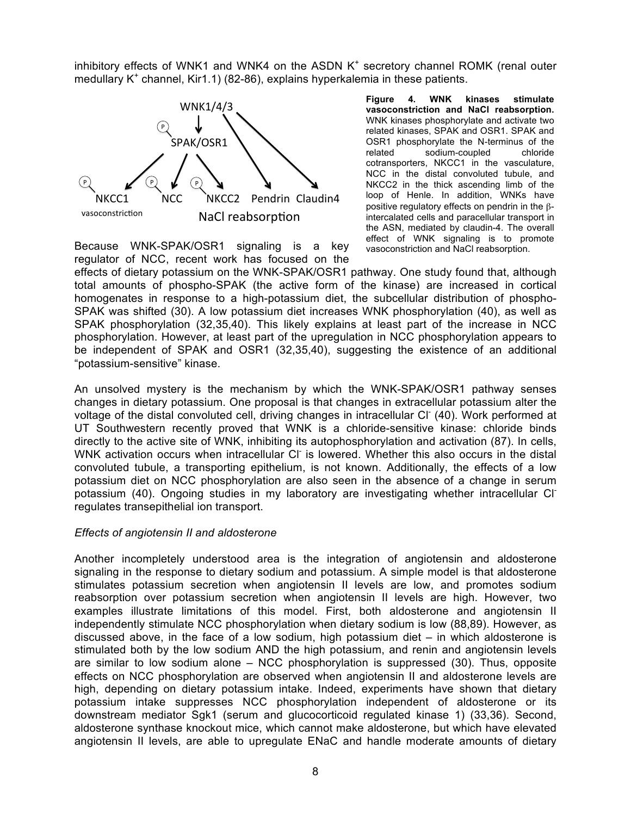inhibitory effects of WNK1 and WNK4 on the ASDN  $K<sup>+</sup>$  secretory channel ROMK (renal outer medullary  $K^+$  channel, Kir1.1) (82-86), explains hyperkalemia in these patients.



**Figure 4. WNK kinases stimulate vasoconstriction and NaCl reabsorption.**  WNK kinases phosphorylate and activate two related kinases, SPAK and OSR1. SPAK and OSR1 phosphorylate the N-terminus of the related sodium-coupled chloride cotransporters, NKCC1 in the vasculature, NCC in the distal convoluted tubule, and NKCC2 in the thick ascending limb of the loop of Henle. In addition, WNKs have positive regulatory effects on pendrin in the  $β$ intercalated cells and paracellular transport in the ASN, mediated by claudin-4. The overall effect of WNK signaling is to promote vasoconstriction and NaCl reabsorption.

Because WNK-SPAK/OSR1 signaling is a key regulator of NCC, recent work has focused on the

effects of dietary potassium on the WNK-SPAK/OSR1 pathway. One study found that, although total amounts of phospho-SPAK (the active form of the kinase) are increased in cortical homogenates in response to a high-potassium diet, the subcellular distribution of phospho-SPAK was shifted (30). A low potassium diet increases WNK phosphorylation (40), as well as SPAK phosphorylation (32,35,40). This likely explains at least part of the increase in NCC phosphorylation. However, at least part of the upregulation in NCC phosphorylation appears to be independent of SPAK and OSR1 (32,35,40), suggesting the existence of an additional "potassium-sensitive" kinase.

An unsolved mystery is the mechanism by which the WNK-SPAK/OSR1 pathway senses changes in dietary potassium. One proposal is that changes in extracellular potassium alter the voltage of the distal convoluted cell, driving changes in intracellular Cl<sup>-</sup> (40). Work performed at UT Southwestern recently proved that WNK is a chloride-sensitive kinase: chloride binds directly to the active site of WNK, inhibiting its autophosphorylation and activation (87). In cells, WNK activation occurs when intracellular CI is lowered. Whether this also occurs in the distal convoluted tubule, a transporting epithelium, is not known. Additionally, the effects of a low potassium diet on NCC phosphorylation are also seen in the absence of a change in serum potassium (40). Ongoing studies in my laboratory are investigating whether intracellular Cl<sup>-</sup> regulates transepithelial ion transport.

#### *Effects of angiotensin II and aldosterone*

Another incompletely understood area is the integration of angiotensin and aldosterone signaling in the response to dietary sodium and potassium. A simple model is that aldosterone stimulates potassium secretion when angiotensin II levels are low, and promotes sodium reabsorption over potassium secretion when angiotensin II levels are high. However, two examples illustrate limitations of this model. First, both aldosterone and angiotensin II independently stimulate NCC phosphorylation when dietary sodium is low (88,89). However, as discussed above, in the face of a low sodium, high potassium diet – in which aldosterone is stimulated both by the low sodium AND the high potassium, and renin and angiotensin levels are similar to low sodium alone – NCC phosphorylation is suppressed (30). Thus, opposite effects on NCC phosphorylation are observed when angiotensin II and aldosterone levels are high, depending on dietary potassium intake. Indeed, experiments have shown that dietary potassium intake suppresses NCC phosphorylation independent of aldosterone or its downstream mediator Sgk1 (serum and glucocorticoid regulated kinase 1) (33,36). Second, aldosterone synthase knockout mice, which cannot make aldosterone, but which have elevated angiotensin II levels, are able to upregulate ENaC and handle moderate amounts of dietary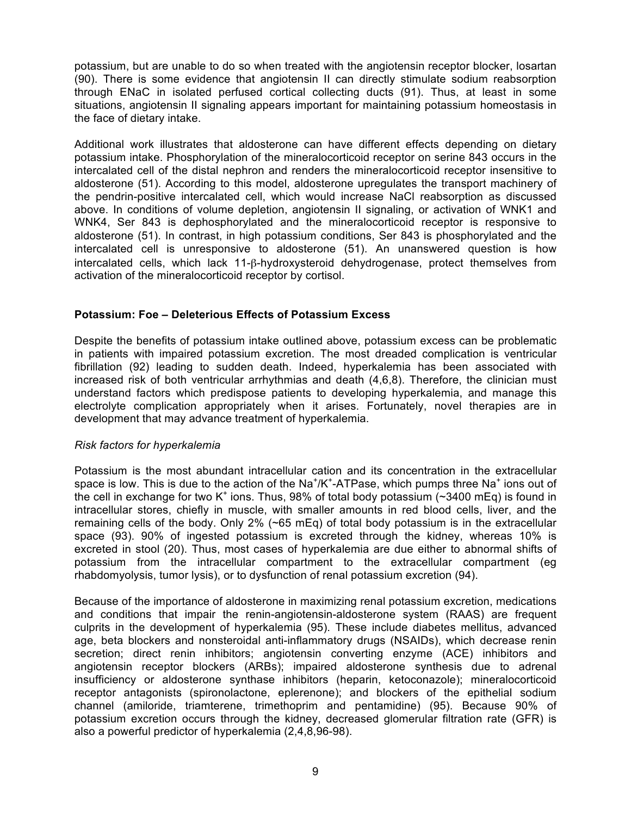potassium, but are unable to do so when treated with the angiotensin receptor blocker, losartan (90). There is some evidence that angiotensin II can directly stimulate sodium reabsorption through ENaC in isolated perfused cortical collecting ducts (91). Thus, at least in some situations, angiotensin II signaling appears important for maintaining potassium homeostasis in the face of dietary intake.

Additional work illustrates that aldosterone can have different effects depending on dietary potassium intake. Phosphorylation of the mineralocorticoid receptor on serine 843 occurs in the intercalated cell of the distal nephron and renders the mineralocorticoid receptor insensitive to aldosterone (51). According to this model, aldosterone upregulates the transport machinery of the pendrin-positive intercalated cell, which would increase NaCl reabsorption as discussed above. In conditions of volume depletion, angiotensin II signaling, or activation of WNK1 and WNK4, Ser 843 is dephosphorylated and the mineralocorticoid receptor is responsive to aldosterone (51). In contrast, in high potassium conditions, Ser 843 is phosphorylated and the intercalated cell is unresponsive to aldosterone (51). An unanswered question is how intercalated cells, which lack 11-β-hydroxysteroid dehydrogenase, protect themselves from activation of the mineralocorticoid receptor by cortisol.

## **Potassium: Foe – Deleterious Effects of Potassium Excess**

Despite the benefits of potassium intake outlined above, potassium excess can be problematic in patients with impaired potassium excretion. The most dreaded complication is ventricular fibrillation (92) leading to sudden death. Indeed, hyperkalemia has been associated with increased risk of both ventricular arrhythmias and death (4,6,8). Therefore, the clinician must understand factors which predispose patients to developing hyperkalemia, and manage this electrolyte complication appropriately when it arises. Fortunately, novel therapies are in development that may advance treatment of hyperkalemia.

#### *Risk factors for hyperkalemia*

Potassium is the most abundant intracellular cation and its concentration in the extracellular space is low. This is due to the action of the Na<sup>+</sup>/K<sup>+</sup>-ATPase, which pumps three Na<sup>+</sup> ions out of the cell in exchange for two K<sup>+</sup> ions. Thus, 98% of total body potassium ( $\sim$ 3400 mEq) is found in intracellular stores, chiefly in muscle, with smaller amounts in red blood cells, liver, and the remaining cells of the body. Only 2% (~65 mEq) of total body potassium is in the extracellular space (93). 90% of ingested potassium is excreted through the kidney, whereas 10% is excreted in stool (20). Thus, most cases of hyperkalemia are due either to abnormal shifts of potassium from the intracellular compartment to the extracellular compartment (eg rhabdomyolysis, tumor lysis), or to dysfunction of renal potassium excretion (94).

Because of the importance of aldosterone in maximizing renal potassium excretion, medications and conditions that impair the renin-angiotensin-aldosterone system (RAAS) are frequent culprits in the development of hyperkalemia (95). These include diabetes mellitus, advanced age, beta blockers and nonsteroidal anti-inflammatory drugs (NSAIDs), which decrease renin secretion; direct renin inhibitors; angiotensin converting enzyme (ACE) inhibitors and angiotensin receptor blockers (ARBs); impaired aldosterone synthesis due to adrenal insufficiency or aldosterone synthase inhibitors (heparin, ketoconazole); mineralocorticoid receptor antagonists (spironolactone, eplerenone); and blockers of the epithelial sodium channel (amiloride, triamterene, trimethoprim and pentamidine) (95). Because 90% of potassium excretion occurs through the kidney, decreased glomerular filtration rate (GFR) is also a powerful predictor of hyperkalemia (2,4,8,96-98).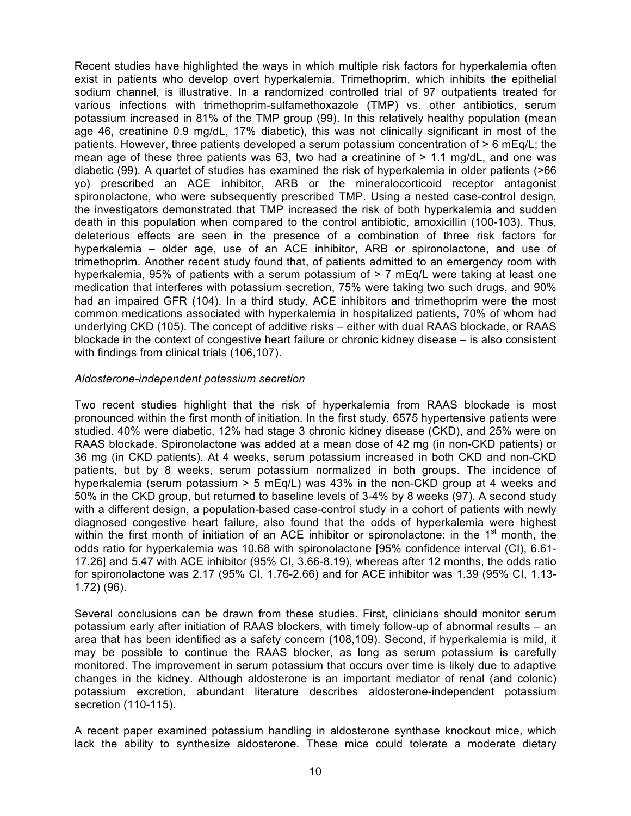Recent studies have highlighted the ways in which multiple risk factors for hyperkalemia often exist in patients who develop overt hyperkalemia. Trimethoprim, which inhibits the epithelial sodium channel, is illustrative. In a randomized controlled trial of 97 outpatients treated for various infections with trimethoprim-sulfamethoxazole (TMP) vs. other antibiotics, serum potassium increased in 81% of the TMP group (99). In this relatively healthy population (mean age 46, creatinine 0.9 mg/dL, 17% diabetic), this was not clinically significant in most of the patients. However, three patients developed a serum potassium concentration of > 6 mEq/L; the mean age of these three patients was 63, two had a creatinine of  $> 1.1$  mg/dL, and one was diabetic (99). A quartet of studies has examined the risk of hyperkalemia in older patients (>66 yo) prescribed an ACE inhibitor, ARB or the mineralocorticoid receptor antagonist spironolactone, who were subsequently prescribed TMP. Using a nested case-control design, the investigators demonstrated that TMP increased the risk of both hyperkalemia and sudden death in this population when compared to the control antibiotic, amoxicillin (100-103). Thus, deleterious effects are seen in the presence of a combination of three risk factors for hyperkalemia – older age, use of an ACE inhibitor, ARB or spironolactone, and use of trimethoprim. Another recent study found that, of patients admitted to an emergency room with hyperkalemia, 95% of patients with a serum potassium of > 7 mEq/L were taking at least one medication that interferes with potassium secretion, 75% were taking two such drugs, and 90% had an impaired GFR (104). In a third study, ACE inhibitors and trimethoprim were the most common medications associated with hyperkalemia in hospitalized patients, 70% of whom had underlying CKD (105). The concept of additive risks – either with dual RAAS blockade, or RAAS blockade in the context of congestive heart failure or chronic kidney disease – is also consistent with findings from clinical trials (106,107).

#### *Aldosterone-independent potassium secretion*

Two recent studies highlight that the risk of hyperkalemia from RAAS blockade is most pronounced within the first month of initiation. In the first study, 6575 hypertensive patients were studied. 40% were diabetic, 12% had stage 3 chronic kidney disease (CKD), and 25% were on RAAS blockade. Spironolactone was added at a mean dose of 42 mg (in non-CKD patients) or 36 mg (in CKD patients). At 4 weeks, serum potassium increased in both CKD and non-CKD patients, but by 8 weeks, serum potassium normalized in both groups. The incidence of hyperkalemia (serum potassium > 5 mEq/L) was 43% in the non-CKD group at 4 weeks and 50% in the CKD group, but returned to baseline levels of 3-4% by 8 weeks (97). A second study with a different design, a population-based case-control study in a cohort of patients with newly diagnosed congestive heart failure, also found that the odds of hyperkalemia were highest within the first month of initiation of an ACE inhibitor or spironolactone: in the  $1<sup>st</sup>$  month, the odds ratio for hyperkalemia was 10.68 with spironolactone [95% confidence interval (CI), 6.61- 17.26] and 5.47 with ACE inhibitor (95% CI, 3.66-8.19), whereas after 12 months, the odds ratio for spironolactone was 2.17 (95% CI, 1.76-2.66) and for ACE inhibitor was 1.39 (95% CI, 1.13- 1.72) (96).

Several conclusions can be drawn from these studies. First, clinicians should monitor serum potassium early after initiation of RAAS blockers, with timely follow-up of abnormal results – an area that has been identified as a safety concern (108,109). Second, if hyperkalemia is mild, it may be possible to continue the RAAS blocker, as long as serum potassium is carefully monitored. The improvement in serum potassium that occurs over time is likely due to adaptive changes in the kidney. Although aldosterone is an important mediator of renal (and colonic) potassium excretion, abundant literature describes aldosterone-independent potassium secretion (110-115).

A recent paper examined potassium handling in aldosterone synthase knockout mice, which lack the ability to synthesize aldosterone. These mice could tolerate a moderate dietary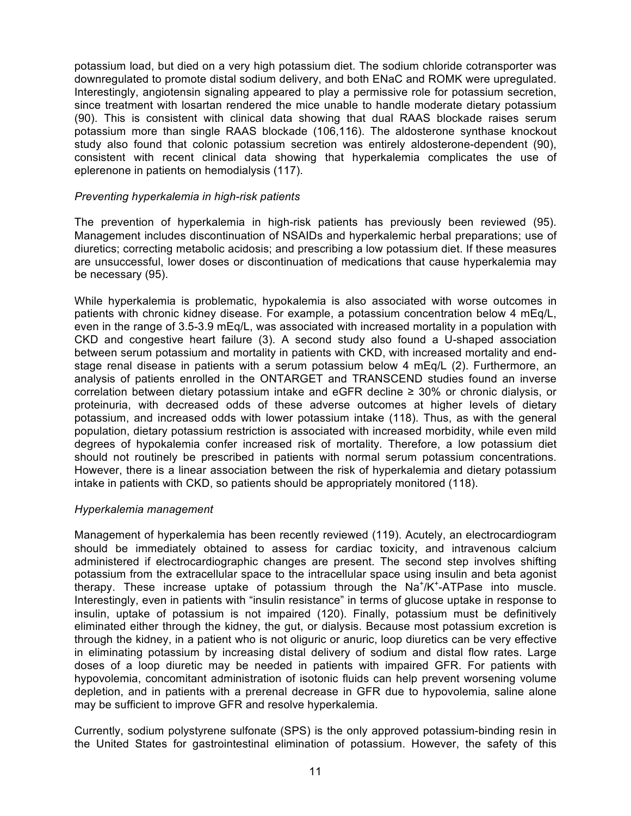potassium load, but died on a very high potassium diet. The sodium chloride cotransporter was downregulated to promote distal sodium delivery, and both ENaC and ROMK were upregulated. Interestingly, angiotensin signaling appeared to play a permissive role for potassium secretion, since treatment with losartan rendered the mice unable to handle moderate dietary potassium (90). This is consistent with clinical data showing that dual RAAS blockade raises serum potassium more than single RAAS blockade (106,116). The aldosterone synthase knockout study also found that colonic potassium secretion was entirely aldosterone-dependent (90), consistent with recent clinical data showing that hyperkalemia complicates the use of eplerenone in patients on hemodialysis (117).

#### *Preventing hyperkalemia in high-risk patients*

The prevention of hyperkalemia in high-risk patients has previously been reviewed (95). Management includes discontinuation of NSAIDs and hyperkalemic herbal preparations; use of diuretics; correcting metabolic acidosis; and prescribing a low potassium diet. If these measures are unsuccessful, lower doses or discontinuation of medications that cause hyperkalemia may be necessary (95).

While hyperkalemia is problematic, hypokalemia is also associated with worse outcomes in patients with chronic kidney disease. For example, a potassium concentration below 4 mEq/L, even in the range of 3.5-3.9 mEq/L, was associated with increased mortality in a population with CKD and congestive heart failure (3). A second study also found a U-shaped association between serum potassium and mortality in patients with CKD, with increased mortality and endstage renal disease in patients with a serum potassium below 4 mEq/L (2). Furthermore, an analysis of patients enrolled in the ONTARGET and TRANSCEND studies found an inverse correlation between dietary potassium intake and eGFR decline ≥ 30% or chronic dialysis, or proteinuria, with decreased odds of these adverse outcomes at higher levels of dietary potassium, and increased odds with lower potassium intake (118). Thus, as with the general population, dietary potassium restriction is associated with increased morbidity, while even mild degrees of hypokalemia confer increased risk of mortality. Therefore, a low potassium diet should not routinely be prescribed in patients with normal serum potassium concentrations. However, there is a linear association between the risk of hyperkalemia and dietary potassium intake in patients with CKD, so patients should be appropriately monitored (118).

#### *Hyperkalemia management*

Management of hyperkalemia has been recently reviewed (119). Acutely, an electrocardiogram should be immediately obtained to assess for cardiac toxicity, and intravenous calcium administered if electrocardiographic changes are present. The second step involves shifting potassium from the extracellular space to the intracellular space using insulin and beta agonist therapy. These increase uptake of potassium through the Na<sup>+</sup>/K<sup>+</sup>-ATPase into muscle. Interestingly, even in patients with "insulin resistance" in terms of glucose uptake in response to insulin, uptake of potassium is not impaired (120). Finally, potassium must be definitively eliminated either through the kidney, the gut, or dialysis. Because most potassium excretion is through the kidney, in a patient who is not oliguric or anuric, loop diuretics can be very effective in eliminating potassium by increasing distal delivery of sodium and distal flow rates. Large doses of a loop diuretic may be needed in patients with impaired GFR. For patients with hypovolemia, concomitant administration of isotonic fluids can help prevent worsening volume depletion, and in patients with a prerenal decrease in GFR due to hypovolemia, saline alone may be sufficient to improve GFR and resolve hyperkalemia.

Currently, sodium polystyrene sulfonate (SPS) is the only approved potassium-binding resin in the United States for gastrointestinal elimination of potassium. However, the safety of this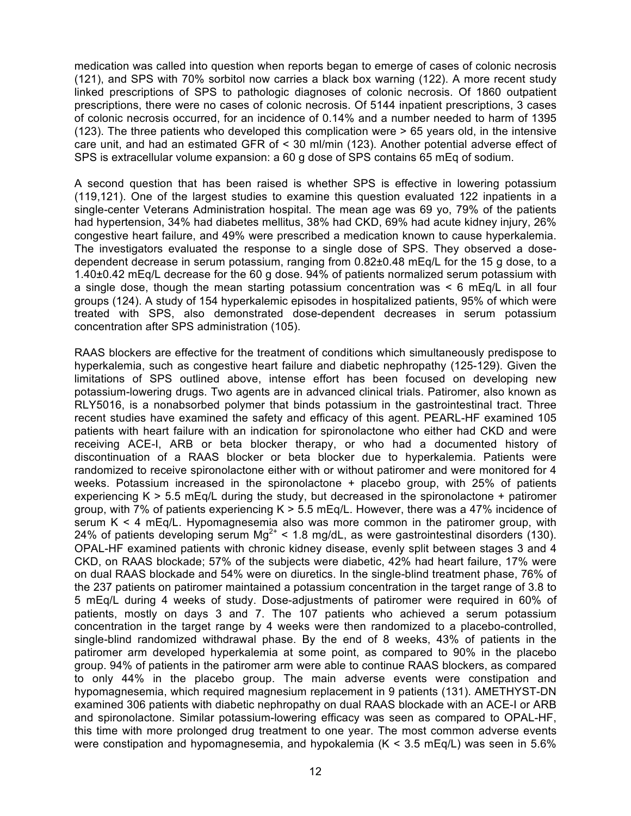medication was called into question when reports began to emerge of cases of colonic necrosis (121), and SPS with 70% sorbitol now carries a black box warning (122). A more recent study linked prescriptions of SPS to pathologic diagnoses of colonic necrosis. Of 1860 outpatient prescriptions, there were no cases of colonic necrosis. Of 5144 inpatient prescriptions, 3 cases of colonic necrosis occurred, for an incidence of 0.14% and a number needed to harm of 1395 (123). The three patients who developed this complication were > 65 years old, in the intensive care unit, and had an estimated GFR of < 30 ml/min (123). Another potential adverse effect of SPS is extracellular volume expansion: a 60 g dose of SPS contains 65 mEq of sodium.

A second question that has been raised is whether SPS is effective in lowering potassium (119,121). One of the largest studies to examine this question evaluated 122 inpatients in a single-center Veterans Administration hospital. The mean age was 69 yo, 79% of the patients had hypertension, 34% had diabetes mellitus, 38% had CKD, 69% had acute kidney injury, 26% congestive heart failure, and 49% were prescribed a medication known to cause hyperkalemia. The investigators evaluated the response to a single dose of SPS. They observed a dosedependent decrease in serum potassium, ranging from 0.82±0.48 mEq/L for the 15 g dose, to a 1.40±0.42 mEq/L decrease for the 60 g dose. 94% of patients normalized serum potassium with a single dose, though the mean starting potassium concentration was < 6 mEq/L in all four groups (124). A study of 154 hyperkalemic episodes in hospitalized patients, 95% of which were treated with SPS, also demonstrated dose-dependent decreases in serum potassium concentration after SPS administration (105).

RAAS blockers are effective for the treatment of conditions which simultaneously predispose to hyperkalemia, such as congestive heart failure and diabetic nephropathy (125-129). Given the limitations of SPS outlined above, intense effort has been focused on developing new potassium-lowering drugs. Two agents are in advanced clinical trials. Patiromer, also known as RLY5016, is a nonabsorbed polymer that binds potassium in the gastrointestinal tract. Three recent studies have examined the safety and efficacy of this agent. PEARL-HF examined 105 patients with heart failure with an indication for spironolactone who either had CKD and were receiving ACE-I, ARB or beta blocker therapy, or who had a documented history of discontinuation of a RAAS blocker or beta blocker due to hyperkalemia. Patients were randomized to receive spironolactone either with or without patiromer and were monitored for 4 weeks. Potassium increased in the spironolactone + placebo group, with 25% of patients experiencing  $K > 5.5$  mEg/L during the study, but decreased in the spironolactone + patiromer group, with 7% of patients experiencing  $K > 5.5$  mEq/L. However, there was a 47% incidence of serum  $K \leq 4$  mEq/L. Hypomagnesemia also was more common in the patiromer group, with 24% of patients developing serum  $Mg^{2+}$  < 1.8 mg/dL, as were gastrointestinal disorders (130). OPAL-HF examined patients with chronic kidney disease, evenly split between stages 3 and 4 CKD, on RAAS blockade; 57% of the subjects were diabetic, 42% had heart failure, 17% were on dual RAAS blockade and 54% were on diuretics. In the single-blind treatment phase, 76% of the 237 patients on patiromer maintained a potassium concentration in the target range of 3.8 to 5 mEq/L during 4 weeks of study. Dose-adjustments of patiromer were required in 60% of patients, mostly on days 3 and 7. The 107 patients who achieved a serum potassium concentration in the target range by 4 weeks were then randomized to a placebo-controlled, single-blind randomized withdrawal phase. By the end of 8 weeks, 43% of patients in the patiromer arm developed hyperkalemia at some point, as compared to 90% in the placebo group. 94% of patients in the patiromer arm were able to continue RAAS blockers, as compared to only 44% in the placebo group. The main adverse events were constipation and hypomagnesemia, which required magnesium replacement in 9 patients (131). AMETHYST-DN examined 306 patients with diabetic nephropathy on dual RAAS blockade with an ACE-I or ARB and spironolactone. Similar potassium-lowering efficacy was seen as compared to OPAL-HF, this time with more prolonged drug treatment to one year. The most common adverse events were constipation and hypomagnesemia, and hypokalemia ( $K < 3.5$  mEq/L) was seen in 5.6%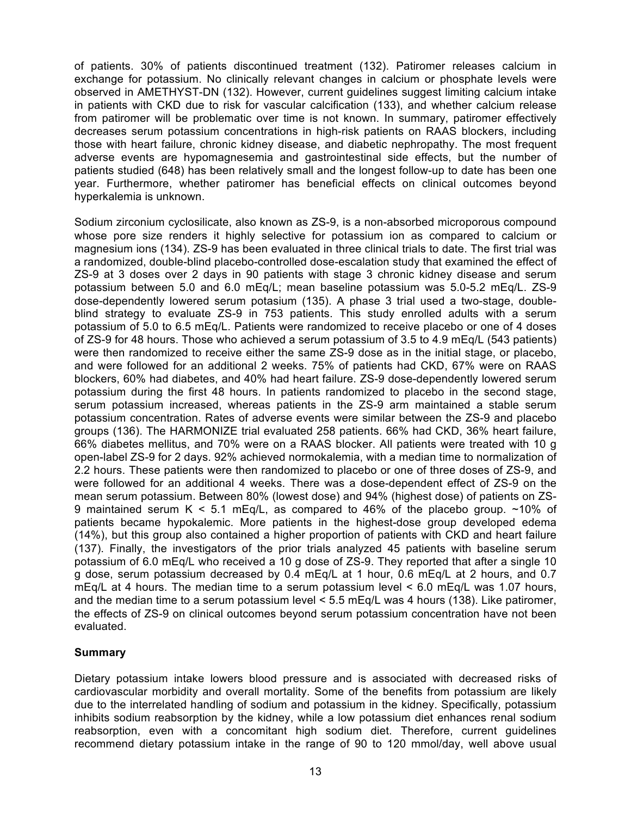of patients. 30% of patients discontinued treatment (132). Patiromer releases calcium in exchange for potassium. No clinically relevant changes in calcium or phosphate levels were observed in AMETHYST-DN (132). However, current guidelines suggest limiting calcium intake in patients with CKD due to risk for vascular calcification (133), and whether calcium release from patiromer will be problematic over time is not known. In summary, patiromer effectively decreases serum potassium concentrations in high-risk patients on RAAS blockers, including those with heart failure, chronic kidney disease, and diabetic nephropathy. The most frequent adverse events are hypomagnesemia and gastrointestinal side effects, but the number of patients studied (648) has been relatively small and the longest follow-up to date has been one year. Furthermore, whether patiromer has beneficial effects on clinical outcomes beyond hyperkalemia is unknown.

Sodium zirconium cyclosilicate, also known as ZS-9, is a non-absorbed microporous compound whose pore size renders it highly selective for potassium ion as compared to calcium or magnesium ions (134). ZS-9 has been evaluated in three clinical trials to date. The first trial was a randomized, double-blind placebo-controlled dose-escalation study that examined the effect of ZS-9 at 3 doses over 2 days in 90 patients with stage 3 chronic kidney disease and serum potassium between 5.0 and 6.0 mEq/L; mean baseline potassium was 5.0-5.2 mEq/L. ZS-9 dose-dependently lowered serum potasium (135). A phase 3 trial used a two-stage, doubleblind strategy to evaluate ZS-9 in 753 patients. This study enrolled adults with a serum potassium of 5.0 to 6.5 mEq/L. Patients were randomized to receive placebo or one of 4 doses of ZS-9 for 48 hours. Those who achieved a serum potassium of 3.5 to 4.9 mEq/L (543 patients) were then randomized to receive either the same ZS-9 dose as in the initial stage, or placebo, and were followed for an additional 2 weeks. 75% of patients had CKD, 67% were on RAAS blockers, 60% had diabetes, and 40% had heart failure. ZS-9 dose-dependently lowered serum potassium during the first 48 hours. In patients randomized to placebo in the second stage, serum potassium increased, whereas patients in the ZS-9 arm maintained a stable serum potassium concentration. Rates of adverse events were similar between the ZS-9 and placebo groups (136). The HARMONIZE trial evaluated 258 patients. 66% had CKD, 36% heart failure, 66% diabetes mellitus, and 70% were on a RAAS blocker. All patients were treated with 10 g open-label ZS-9 for 2 days. 92% achieved normokalemia, with a median time to normalization of 2.2 hours. These patients were then randomized to placebo or one of three doses of ZS-9, and were followed for an additional 4 weeks. There was a dose-dependent effect of ZS-9 on the mean serum potassium. Between 80% (lowest dose) and 94% (highest dose) of patients on ZS-9 maintained serum K < 5.1 mEq/L, as compared to 46% of the placebo group. ~10% of patients became hypokalemic. More patients in the highest-dose group developed edema (14%), but this group also contained a higher proportion of patients with CKD and heart failure (137). Finally, the investigators of the prior trials analyzed 45 patients with baseline serum potassium of 6.0 mEq/L who received a 10 g dose of ZS-9. They reported that after a single 10 g dose, serum potassium decreased by 0.4 mEq/L at 1 hour, 0.6 mEq/L at 2 hours, and 0.7 mEq/L at 4 hours. The median time to a serum potassium level < 6.0 mEq/L was 1.07 hours, and the median time to a serum potassium level < 5.5 mEq/L was 4 hours (138). Like patiromer, the effects of ZS-9 on clinical outcomes beyond serum potassium concentration have not been evaluated.

# **Summary**

Dietary potassium intake lowers blood pressure and is associated with decreased risks of cardiovascular morbidity and overall mortality. Some of the benefits from potassium are likely due to the interrelated handling of sodium and potassium in the kidney. Specifically, potassium inhibits sodium reabsorption by the kidney, while a low potassium diet enhances renal sodium reabsorption, even with a concomitant high sodium diet. Therefore, current guidelines recommend dietary potassium intake in the range of 90 to 120 mmol/day, well above usual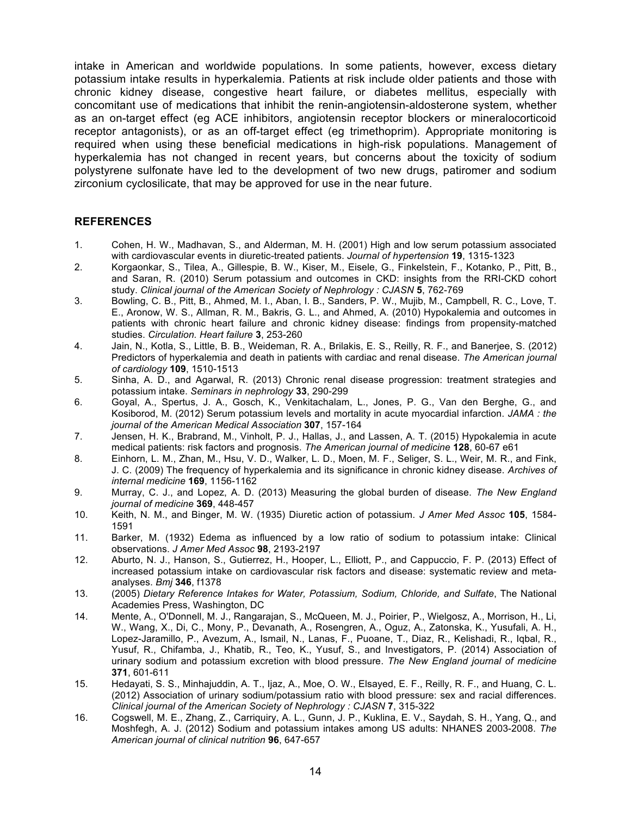intake in American and worldwide populations. In some patients, however, excess dietary potassium intake results in hyperkalemia. Patients at risk include older patients and those with chronic kidney disease, congestive heart failure, or diabetes mellitus, especially with concomitant use of medications that inhibit the renin-angiotensin-aldosterone system, whether as an on-target effect (eg ACE inhibitors, angiotensin receptor blockers or mineralocorticoid receptor antagonists), or as an off-target effect (eg trimethoprim). Appropriate monitoring is required when using these beneficial medications in high-risk populations. Management of hyperkalemia has not changed in recent years, but concerns about the toxicity of sodium polystyrene sulfonate have led to the development of two new drugs, patiromer and sodium zirconium cyclosilicate, that may be approved for use in the near future.

## **REFERENCES**

- 1. Cohen, H. W., Madhavan, S., and Alderman, M. H. (2001) High and low serum potassium associated with cardiovascular events in diuretic-treated patients. *Journal of hypertension* **19**, 1315-1323
- 2. Korgaonkar, S., Tilea, A., Gillespie, B. W., Kiser, M., Eisele, G., Finkelstein, F., Kotanko, P., Pitt, B., and Saran, R. (2010) Serum potassium and outcomes in CKD: insights from the RRI-CKD cohort study. *Clinical journal of the American Society of Nephrology : CJASN* **5**, 762-769
- 3. Bowling, C. B., Pitt, B., Ahmed, M. I., Aban, I. B., Sanders, P. W., Mujib, M., Campbell, R. C., Love, T. E., Aronow, W. S., Allman, R. M., Bakris, G. L., and Ahmed, A. (2010) Hypokalemia and outcomes in patients with chronic heart failure and chronic kidney disease: findings from propensity-matched studies. *Circulation. Heart failure* **3**, 253-260
- 4. Jain, N., Kotla, S., Little, B. B., Weideman, R. A., Brilakis, E. S., Reilly, R. F., and Banerjee, S. (2012) Predictors of hyperkalemia and death in patients with cardiac and renal disease. *The American journal of cardiology* **109**, 1510-1513
- 5. Sinha, A. D., and Agarwal, R. (2013) Chronic renal disease progression: treatment strategies and potassium intake. *Seminars in nephrology* **33**, 290-299
- 6. Goyal, A., Spertus, J. A., Gosch, K., Venkitachalam, L., Jones, P. G., Van den Berghe, G., and Kosiborod, M. (2012) Serum potassium levels and mortality in acute myocardial infarction. *JAMA : the journal of the American Medical Association* **307**, 157-164
- 7. Jensen, H. K., Brabrand, M., Vinholt, P. J., Hallas, J., and Lassen, A. T. (2015) Hypokalemia in acute medical patients: risk factors and prognosis. *The American journal of medicine* **128**, 60-67 e61
- 8. Einhorn, L. M., Zhan, M., Hsu, V. D., Walker, L. D., Moen, M. F., Seliger, S. L., Weir, M. R., and Fink, J. C. (2009) The frequency of hyperkalemia and its significance in chronic kidney disease. *Archives of internal medicine* **169**, 1156-1162
- 9. Murray, C. J., and Lopez, A. D. (2013) Measuring the global burden of disease. *The New England journal of medicine* **369**, 448-457
- 10. Keith, N. M., and Binger, M. W. (1935) Diuretic action of potassium. *J Amer Med Assoc* **105**, 1584- 1591
- 11. Barker, M. (1932) Edema as influenced by a low ratio of sodium to potassium intake: Clinical observations. *J Amer Med Assoc* **98**, 2193-2197
- 12. Aburto, N. J., Hanson, S., Gutierrez, H., Hooper, L., Elliott, P., and Cappuccio, F. P. (2013) Effect of increased potassium intake on cardiovascular risk factors and disease: systematic review and metaanalyses. *Bmj* **346**, f1378
- 13. (2005) *Dietary Reference Intakes for Water, Potassium, Sodium, Chloride, and Sulfate*, The National Academies Press, Washington, DC
- 14. Mente, A., O'Donnell, M. J., Rangarajan, S., McQueen, M. J., Poirier, P., Wielgosz, A., Morrison, H., Li, W., Wang, X., Di, C., Mony, P., Devanath, A., Rosengren, A., Oguz, A., Zatonska, K., Yusufali, A. H., Lopez-Jaramillo, P., Avezum, A., Ismail, N., Lanas, F., Puoane, T., Diaz, R., Kelishadi, R., Iqbal, R., Yusuf, R., Chifamba, J., Khatib, R., Teo, K., Yusuf, S., and Investigators, P. (2014) Association of urinary sodium and potassium excretion with blood pressure. *The New England journal of medicine* **371**, 601-611
- 15. Hedayati, S. S., Minhajuddin, A. T., Ijaz, A., Moe, O. W., Elsayed, E. F., Reilly, R. F., and Huang, C. L. (2012) Association of urinary sodium/potassium ratio with blood pressure: sex and racial differences. *Clinical journal of the American Society of Nephrology : CJASN* **7**, 315-322
- 16. Cogswell, M. E., Zhang, Z., Carriquiry, A. L., Gunn, J. P., Kuklina, E. V., Saydah, S. H., Yang, Q., and Moshfegh, A. J. (2012) Sodium and potassium intakes among US adults: NHANES 2003-2008. *The American journal of clinical nutrition* **96**, 647-657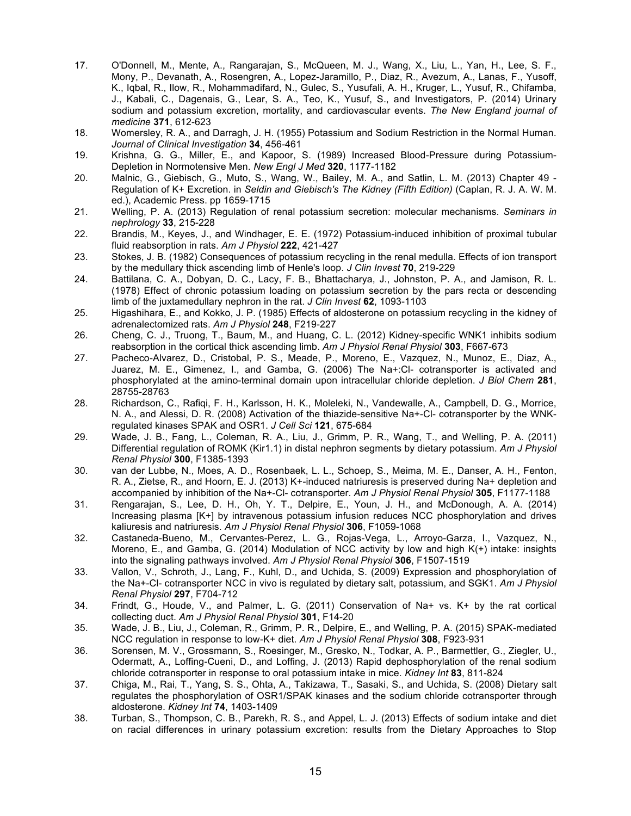- 17. O'Donnell, M., Mente, A., Rangarajan, S., McQueen, M. J., Wang, X., Liu, L., Yan, H., Lee, S. F., Mony, P., Devanath, A., Rosengren, A., Lopez-Jaramillo, P., Diaz, R., Avezum, A., Lanas, F., Yusoff, K., Iqbal, R., Ilow, R., Mohammadifard, N., Gulec, S., Yusufali, A. H., Kruger, L., Yusuf, R., Chifamba, J., Kabali, C., Dagenais, G., Lear, S. A., Teo, K., Yusuf, S., and Investigators, P. (2014) Urinary sodium and potassium excretion, mortality, and cardiovascular events. *The New England journal of medicine* **371**, 612-623
- 18. Womersley, R. A., and Darragh, J. H. (1955) Potassium and Sodium Restriction in the Normal Human. *Journal of Clinical Investigation* **34**, 456-461
- 19. Krishna, G. G., Miller, E., and Kapoor, S. (1989) Increased Blood-Pressure during Potassium-Depletion in Normotensive Men. *New Engl J Med* **320**, 1177-1182
- 20. Malnic, G., Giebisch, G., Muto, S., Wang, W., Bailey, M. A., and Satlin, L. M. (2013) Chapter 49 Regulation of K+ Excretion. in *Seldin and Giebisch's The Kidney (Fifth Edition)* (Caplan, R. J. A. W. M. ed.), Academic Press. pp 1659-1715
- 21. Welling, P. A. (2013) Regulation of renal potassium secretion: molecular mechanisms. *Seminars in nephrology* **33**, 215-228
- 22. Brandis, M., Keyes, J., and Windhager, E. E. (1972) Potassium-induced inhibition of proximal tubular fluid reabsorption in rats. *Am J Physiol* **222**, 421-427
- 23. Stokes, J. B. (1982) Consequences of potassium recycling in the renal medulla. Effects of ion transport by the medullary thick ascending limb of Henle's loop. *J Clin Invest* **70**, 219-229
- 24. Battilana, C. A., Dobyan, D. C., Lacy, F. B., Bhattacharya, J., Johnston, P. A., and Jamison, R. L. (1978) Effect of chronic potassium loading on potassium secretion by the pars recta or descending limb of the juxtamedullary nephron in the rat. *J Clin Invest* **62**, 1093-1103
- 25. Higashihara, E., and Kokko, J. P. (1985) Effects of aldosterone on potassium recycling in the kidney of adrenalectomized rats. *Am J Physiol* **248**, F219-227
- 26. Cheng, C. J., Truong, T., Baum, M., and Huang, C. L. (2012) Kidney-specific WNK1 inhibits sodium reabsorption in the cortical thick ascending limb. *Am J Physiol Renal Physiol* **303**, F667-673
- 27. Pacheco-Alvarez, D., Cristobal, P. S., Meade, P., Moreno, E., Vazquez, N., Munoz, E., Diaz, A., Juarez, M. E., Gimenez, I., and Gamba, G. (2006) The Na+:Cl- cotransporter is activated and phosphorylated at the amino-terminal domain upon intracellular chloride depletion. *J Biol Chem* **281**, 28755-28763
- 28. Richardson, C., Rafiqi, F. H., Karlsson, H. K., Moleleki, N., Vandewalle, A., Campbell, D. G., Morrice, N. A., and Alessi, D. R. (2008) Activation of the thiazide-sensitive Na+-Cl- cotransporter by the WNKregulated kinases SPAK and OSR1. *J Cell Sci* **121**, 675-684
- 29. Wade, J. B., Fang, L., Coleman, R. A., Liu, J., Grimm, P. R., Wang, T., and Welling, P. A. (2011) Differential regulation of ROMK (Kir1.1) in distal nephron segments by dietary potassium. *Am J Physiol Renal Physiol* **300**, F1385-1393
- 30. van der Lubbe, N., Moes, A. D., Rosenbaek, L. L., Schoep, S., Meima, M. E., Danser, A. H., Fenton, R. A., Zietse, R., and Hoorn, E. J. (2013) K+-induced natriuresis is preserved during Na+ depletion and accompanied by inhibition of the Na+-Cl- cotransporter. *Am J Physiol Renal Physiol* **305**, F1177-1188
- 31. Rengarajan, S., Lee, D. H., Oh, Y. T., Delpire, E., Youn, J. H., and McDonough, A. A. (2014) Increasing plasma [K+] by intravenous potassium infusion reduces NCC phosphorylation and drives kaliuresis and natriuresis. *Am J Physiol Renal Physiol* **306**, F1059-1068
- 32. Castaneda-Bueno, M., Cervantes-Perez, L. G., Rojas-Vega, L., Arroyo-Garza, I., Vazquez, N., Moreno, E., and Gamba, G. (2014) Modulation of NCC activity by low and high K(+) intake: insights into the signaling pathways involved. *Am J Physiol Renal Physiol* **306**, F1507-1519
- 33. Vallon, V., Schroth, J., Lang, F., Kuhl, D., and Uchida, S. (2009) Expression and phosphorylation of the Na+-Cl- cotransporter NCC in vivo is regulated by dietary salt, potassium, and SGK1. *Am J Physiol Renal Physiol* **297**, F704-712
- 34. Frindt, G., Houde, V., and Palmer, L. G. (2011) Conservation of Na+ vs. K+ by the rat cortical collecting duct. *Am J Physiol Renal Physiol* **301**, F14-20
- 35. Wade, J. B., Liu, J., Coleman, R., Grimm, P. R., Delpire, E., and Welling, P. A. (2015) SPAK-mediated NCC regulation in response to low-K+ diet. *Am J Physiol Renal Physiol* **308**, F923-931
- 36. Sorensen, M. V., Grossmann, S., Roesinger, M., Gresko, N., Todkar, A. P., Barmettler, G., Ziegler, U., Odermatt, A., Loffing-Cueni, D., and Loffing, J. (2013) Rapid dephosphorylation of the renal sodium chloride cotransporter in response to oral potassium intake in mice. *Kidney Int* **83**, 811-824
- 37. Chiga, M., Rai, T., Yang, S. S., Ohta, A., Takizawa, T., Sasaki, S., and Uchida, S. (2008) Dietary salt regulates the phosphorylation of OSR1/SPAK kinases and the sodium chloride cotransporter through aldosterone. *Kidney Int* **74**, 1403-1409
- 38. Turban, S., Thompson, C. B., Parekh, R. S., and Appel, L. J. (2013) Effects of sodium intake and diet on racial differences in urinary potassium excretion: results from the Dietary Approaches to Stop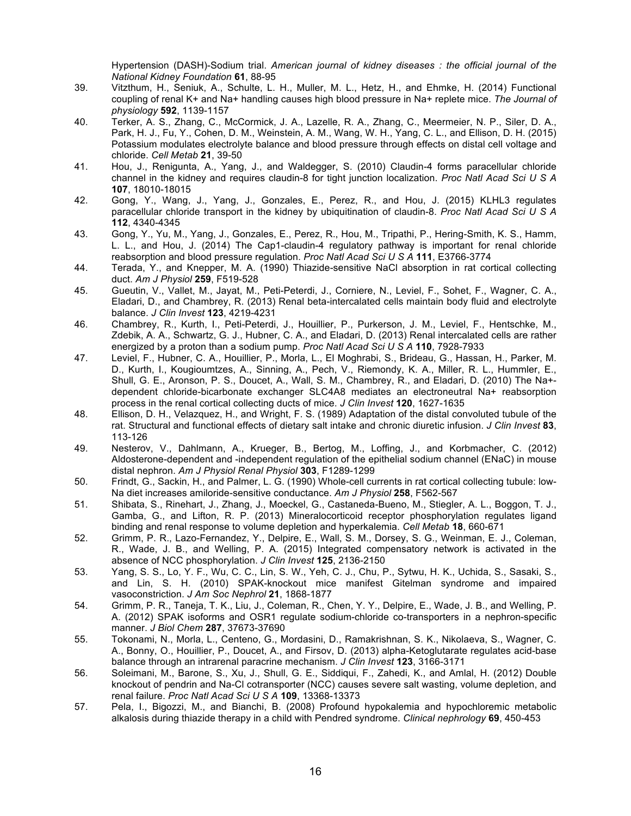Hypertension (DASH)-Sodium trial. *American journal of kidney diseases : the official journal of the National Kidney Foundation* **61**, 88-95

- 39. Vitzthum, H., Seniuk, A., Schulte, L. H., Muller, M. L., Hetz, H., and Ehmke, H. (2014) Functional coupling of renal K+ and Na+ handling causes high blood pressure in Na+ replete mice. *The Journal of physiology* **592**, 1139-1157
- 40. Terker, A. S., Zhang, C., McCormick, J. A., Lazelle, R. A., Zhang, C., Meermeier, N. P., Siler, D. A., Park, H. J., Fu, Y., Cohen, D. M., Weinstein, A. M., Wang, W. H., Yang, C. L., and Ellison, D. H. (2015) Potassium modulates electrolyte balance and blood pressure through effects on distal cell voltage and chloride. *Cell Metab* **21**, 39-50
- 41. Hou, J., Renigunta, A., Yang, J., and Waldegger, S. (2010) Claudin-4 forms paracellular chloride channel in the kidney and requires claudin-8 for tight junction localization. *Proc Natl Acad Sci U S A* **107**, 18010-18015
- 42. Gong, Y., Wang, J., Yang, J., Gonzales, E., Perez, R., and Hou, J. (2015) KLHL3 regulates paracellular chloride transport in the kidney by ubiquitination of claudin-8. *Proc Natl Acad Sci U S A* **112**, 4340-4345
- 43. Gong, Y., Yu, M., Yang, J., Gonzales, E., Perez, R., Hou, M., Tripathi, P., Hering-Smith, K. S., Hamm, L. L., and Hou, J. (2014) The Cap1-claudin-4 regulatory pathway is important for renal chloride reabsorption and blood pressure regulation. *Proc Natl Acad Sci U S A* **111**, E3766-3774
- 44. Terada, Y., and Knepper, M. A. (1990) Thiazide-sensitive NaCl absorption in rat cortical collecting duct. *Am J Physiol* **259**, F519-528
- 45. Gueutin, V., Vallet, M., Jayat, M., Peti-Peterdi, J., Corniere, N., Leviel, F., Sohet, F., Wagner, C. A., Eladari, D., and Chambrey, R. (2013) Renal beta-intercalated cells maintain body fluid and electrolyte balance. *J Clin Invest* **123**, 4219-4231
- 46. Chambrey, R., Kurth, I., Peti-Peterdi, J., Houillier, P., Purkerson, J. M., Leviel, F., Hentschke, M., Zdebik, A. A., Schwartz, G. J., Hubner, C. A., and Eladari, D. (2013) Renal intercalated cells are rather energized by a proton than a sodium pump. *Proc Natl Acad Sci U S A* **110**, 7928-7933
- 47. Leviel, F., Hubner, C. A., Houillier, P., Morla, L., El Moghrabi, S., Brideau, G., Hassan, H., Parker, M. D., Kurth, I., Kougioumtzes, A., Sinning, A., Pech, V., Riemondy, K. A., Miller, R. L., Hummler, E., Shull, G. E., Aronson, P. S., Doucet, A., Wall, S. M., Chambrey, R., and Eladari, D. (2010) The Na+ dependent chloride-bicarbonate exchanger SLC4A8 mediates an electroneutral Na+ reabsorption process in the renal cortical collecting ducts of mice. *J Clin Invest* **120**, 1627-1635
- 48. Ellison, D. H., Velazquez, H., and Wright, F. S. (1989) Adaptation of the distal convoluted tubule of the rat. Structural and functional effects of dietary salt intake and chronic diuretic infusion. *J Clin Invest* **83**, 113-126
- 49. Nesterov, V., Dahlmann, A., Krueger, B., Bertog, M., Loffing, J., and Korbmacher, C. (2012) Aldosterone-dependent and -independent regulation of the epithelial sodium channel (ENaC) in mouse distal nephron. *Am J Physiol Renal Physiol* **303**, F1289-1299
- 50. Frindt, G., Sackin, H., and Palmer, L. G. (1990) Whole-cell currents in rat cortical collecting tubule: low-Na diet increases amiloride-sensitive conductance. *Am J Physiol* **258**, F562-567
- 51. Shibata, S., Rinehart, J., Zhang, J., Moeckel, G., Castaneda-Bueno, M., Stiegler, A. L., Boggon, T. J., Gamba, G., and Lifton, R. P. (2013) Mineralocorticoid receptor phosphorylation regulates ligand binding and renal response to volume depletion and hyperkalemia. *Cell Metab* **18**, 660-671
- 52. Grimm, P. R., Lazo-Fernandez, Y., Delpire, E., Wall, S. M., Dorsey, S. G., Weinman, E. J., Coleman, R., Wade, J. B., and Welling, P. A. (2015) Integrated compensatory network is activated in the absence of NCC phosphorylation. *J Clin Invest* **125**, 2136-2150
- 53. Yang, S. S., Lo, Y. F., Wu, C. C., Lin, S. W., Yeh, C. J., Chu, P., Sytwu, H. K., Uchida, S., Sasaki, S., and Lin, S. H. (2010) SPAK-knockout mice manifest Gitelman syndrome and impaired vasoconstriction. *J Am Soc Nephrol* **21**, 1868-1877
- 54. Grimm, P. R., Taneja, T. K., Liu, J., Coleman, R., Chen, Y. Y., Delpire, E., Wade, J. B., and Welling, P. A. (2012) SPAK isoforms and OSR1 regulate sodium-chloride co-transporters in a nephron-specific manner. *J Biol Chem* **287**, 37673-37690
- 55. Tokonami, N., Morla, L., Centeno, G., Mordasini, D., Ramakrishnan, S. K., Nikolaeva, S., Wagner, C. A., Bonny, O., Houillier, P., Doucet, A., and Firsov, D. (2013) alpha-Ketoglutarate regulates acid-base balance through an intrarenal paracrine mechanism. *J Clin Invest* **123**, 3166-3171
- 56. Soleimani, M., Barone, S., Xu, J., Shull, G. E., Siddiqui, F., Zahedi, K., and Amlal, H. (2012) Double knockout of pendrin and Na-Cl cotransporter (NCC) causes severe salt wasting, volume depletion, and renal failure. *Proc Natl Acad Sci U S A* **109**, 13368-13373
- 57. Pela, I., Bigozzi, M., and Bianchi, B. (2008) Profound hypokalemia and hypochloremic metabolic alkalosis during thiazide therapy in a child with Pendred syndrome. *Clinical nephrology* **69**, 450-453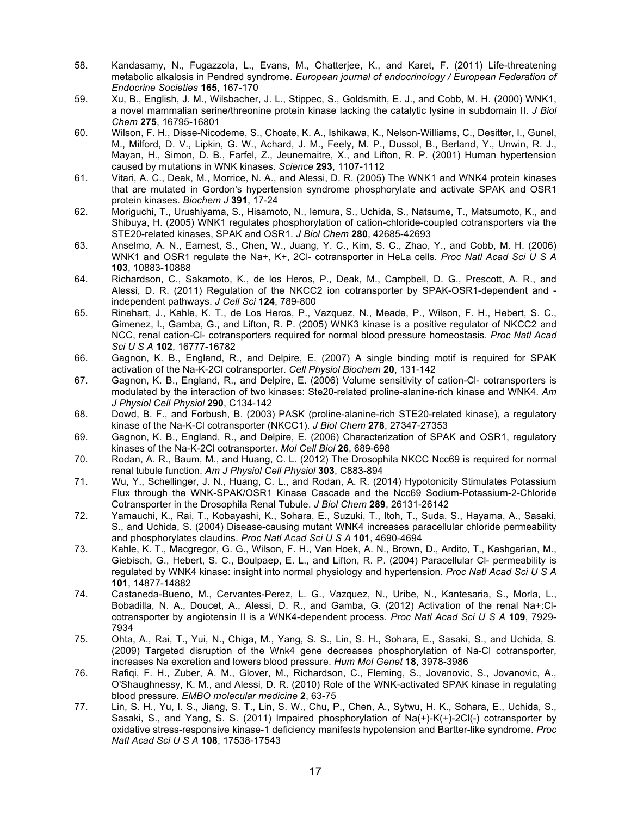- 58. Kandasamy, N., Fugazzola, L., Evans, M., Chatterjee, K., and Karet, F. (2011) Life-threatening metabolic alkalosis in Pendred syndrome. *European journal of endocrinology / European Federation of Endocrine Societies* **165**, 167-170
- 59. Xu, B., English, J. M., Wilsbacher, J. L., Stippec, S., Goldsmith, E. J., and Cobb, M. H. (2000) WNK1, a novel mammalian serine/threonine protein kinase lacking the catalytic lysine in subdomain II. *J Biol Chem* **275**, 16795-16801
- 60. Wilson, F. H., Disse-Nicodeme, S., Choate, K. A., Ishikawa, K., Nelson-Williams, C., Desitter, I., Gunel, M., Milford, D. V., Lipkin, G. W., Achard, J. M., Feely, M. P., Dussol, B., Berland, Y., Unwin, R. J., Mayan, H., Simon, D. B., Farfel, Z., Jeunemaitre, X., and Lifton, R. P. (2001) Human hypertension caused by mutations in WNK kinases. *Science* **293**, 1107-1112
- 61. Vitari, A. C., Deak, M., Morrice, N. A., and Alessi, D. R. (2005) The WNK1 and WNK4 protein kinases that are mutated in Gordon's hypertension syndrome phosphorylate and activate SPAK and OSR1 protein kinases. *Biochem J* **391**, 17-24
- 62. Moriguchi, T., Urushiyama, S., Hisamoto, N., Iemura, S., Uchida, S., Natsume, T., Matsumoto, K., and Shibuya, H. (2005) WNK1 regulates phosphorylation of cation-chloride-coupled cotransporters via the STE20-related kinases, SPAK and OSR1. *J Biol Chem* **280**, 42685-42693
- 63. Anselmo, A. N., Earnest, S., Chen, W., Juang, Y. C., Kim, S. C., Zhao, Y., and Cobb, M. H. (2006) WNK1 and OSR1 regulate the Na+, K+, 2Cl- cotransporter in HeLa cells. *Proc Natl Acad Sci U S A* **103**, 10883-10888
- 64. Richardson, C., Sakamoto, K., de los Heros, P., Deak, M., Campbell, D. G., Prescott, A. R., and Alessi, D. R. (2011) Regulation of the NKCC2 ion cotransporter by SPAK-OSR1-dependent and independent pathways. *J Cell Sci* **124**, 789-800
- 65. Rinehart, J., Kahle, K. T., de Los Heros, P., Vazquez, N., Meade, P., Wilson, F. H., Hebert, S. C., Gimenez, I., Gamba, G., and Lifton, R. P. (2005) WNK3 kinase is a positive regulator of NKCC2 and NCC, renal cation-Cl- cotransporters required for normal blood pressure homeostasis. *Proc Natl Acad Sci U S A* **102**, 16777-16782
- 66. Gagnon, K. B., England, R., and Delpire, E. (2007) A single binding motif is required for SPAK activation of the Na-K-2Cl cotransporter. *Cell Physiol Biochem* **20**, 131-142
- 67. Gagnon, K. B., England, R., and Delpire, E. (2006) Volume sensitivity of cation-Cl- cotransporters is modulated by the interaction of two kinases: Ste20-related proline-alanine-rich kinase and WNK4. *Am J Physiol Cell Physiol* **290**, C134-142
- 68. Dowd, B. F., and Forbush, B. (2003) PASK (proline-alanine-rich STE20-related kinase), a regulatory kinase of the Na-K-Cl cotransporter (NKCC1). *J Biol Chem* **278**, 27347-27353
- 69. Gagnon, K. B., England, R., and Delpire, E. (2006) Characterization of SPAK and OSR1, regulatory kinases of the Na-K-2Cl cotransporter. *Mol Cell Biol* **26**, 689-698
- 70. Rodan, A. R., Baum, M., and Huang, C. L. (2012) The Drosophila NKCC Ncc69 is required for normal renal tubule function. *Am J Physiol Cell Physiol* **303**, C883-894
- 71. Wu, Y., Schellinger, J. N., Huang, C. L., and Rodan, A. R. (2014) Hypotonicity Stimulates Potassium Flux through the WNK-SPAK/OSR1 Kinase Cascade and the Ncc69 Sodium-Potassium-2-Chloride Cotransporter in the Drosophila Renal Tubule. *J Biol Chem* **289**, 26131-26142
- 72. Yamauchi, K., Rai, T., Kobayashi, K., Sohara, E., Suzuki, T., Itoh, T., Suda, S., Hayama, A., Sasaki, S., and Uchida, S. (2004) Disease-causing mutant WNK4 increases paracellular chloride permeability and phosphorylates claudins. *Proc Natl Acad Sci U S A* **101**, 4690-4694
- 73. Kahle, K. T., Macgregor, G. G., Wilson, F. H., Van Hoek, A. N., Brown, D., Ardito, T., Kashgarian, M., Giebisch, G., Hebert, S. C., Boulpaep, E. L., and Lifton, R. P. (2004) Paracellular Cl- permeability is regulated by WNK4 kinase: insight into normal physiology and hypertension. *Proc Natl Acad Sci U S A* **101**, 14877-14882
- 74. Castaneda-Bueno, M., Cervantes-Perez, L. G., Vazquez, N., Uribe, N., Kantesaria, S., Morla, L., Bobadilla, N. A., Doucet, A., Alessi, D. R., and Gamba, G. (2012) Activation of the renal Na+:Clcotransporter by angiotensin II is a WNK4-dependent process. *Proc Natl Acad Sci U S A* **109**, 7929- 7934
- 75. Ohta, A., Rai, T., Yui, N., Chiga, M., Yang, S. S., Lin, S. H., Sohara, E., Sasaki, S., and Uchida, S. (2009) Targeted disruption of the Wnk4 gene decreases phosphorylation of Na-Cl cotransporter, increases Na excretion and lowers blood pressure. *Hum Mol Genet* **18**, 3978-3986
- 76. Rafiqi, F. H., Zuber, A. M., Glover, M., Richardson, C., Fleming, S., Jovanovic, S., Jovanovic, A., O'Shaughnessy, K. M., and Alessi, D. R. (2010) Role of the WNK-activated SPAK kinase in regulating blood pressure. *EMBO molecular medicine* **2**, 63-75
- 77. Lin, S. H., Yu, I. S., Jiang, S. T., Lin, S. W., Chu, P., Chen, A., Sytwu, H. K., Sohara, E., Uchida, S., Sasaki, S., and Yang, S. S. (2011) Impaired phosphorylation of Na(+)-K(+)-2Cl(-) cotransporter by oxidative stress-responsive kinase-1 deficiency manifests hypotension and Bartter-like syndrome. *Proc Natl Acad Sci U S A* **108**, 17538-17543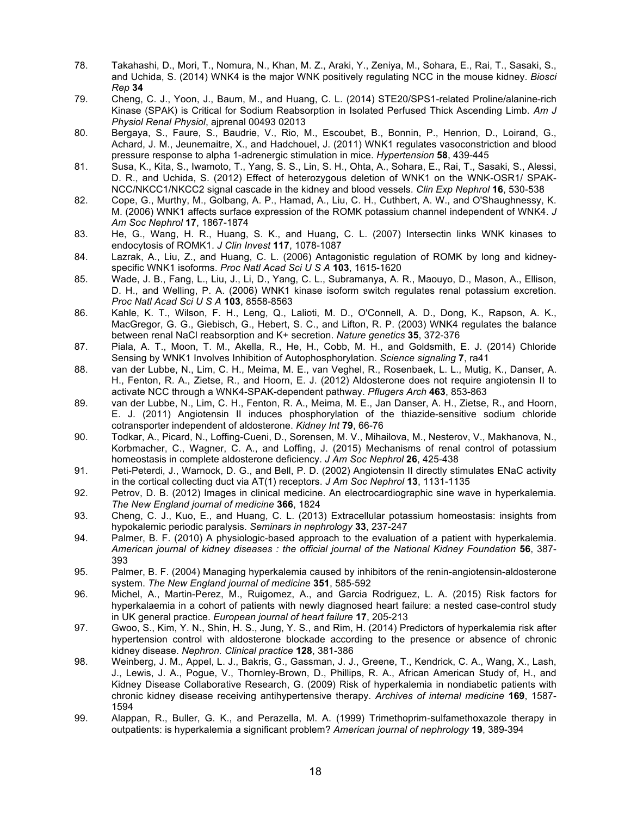- 78. Takahashi, D., Mori, T., Nomura, N., Khan, M. Z., Araki, Y., Zeniya, M., Sohara, E., Rai, T., Sasaki, S., and Uchida, S. (2014) WNK4 is the major WNK positively regulating NCC in the mouse kidney. *Biosci Rep* **34**
- 79. Cheng, C. J., Yoon, J., Baum, M., and Huang, C. L. (2014) STE20/SPS1-related Proline/alanine-rich Kinase (SPAK) is Critical for Sodium Reabsorption in Isolated Perfused Thick Ascending Limb. *Am J Physiol Renal Physiol*, ajprenal 00493 02013
- 80. Bergaya, S., Faure, S., Baudrie, V., Rio, M., Escoubet, B., Bonnin, P., Henrion, D., Loirand, G., Achard, J. M., Jeunemaitre, X., and Hadchouel, J. (2011) WNK1 regulates vasoconstriction and blood pressure response to alpha 1-adrenergic stimulation in mice. *Hypertension* **58**, 439-445
- 81. Susa, K., Kita, S., Iwamoto, T., Yang, S. S., Lin, S. H., Ohta, A., Sohara, E., Rai, T., Sasaki, S., Alessi, D. R., and Uchida, S. (2012) Effect of heterozygous deletion of WNK1 on the WNK-OSR1/ SPAK-NCC/NKCC1/NKCC2 signal cascade in the kidney and blood vessels. *Clin Exp Nephrol* **16**, 530-538
- 82. Cope, G., Murthy, M., Golbang, A. P., Hamad, A., Liu, C. H., Cuthbert, A. W., and O'Shaughnessy, K. M. (2006) WNK1 affects surface expression of the ROMK potassium channel independent of WNK4. *J Am Soc Nephrol* **17**, 1867-1874
- 83. He, G., Wang, H. R., Huang, S. K., and Huang, C. L. (2007) Intersectin links WNK kinases to endocytosis of ROMK1. *J Clin Invest* **117**, 1078-1087
- 84. Lazrak, A., Liu, Z., and Huang, C. L. (2006) Antagonistic regulation of ROMK by long and kidneyspecific WNK1 isoforms. *Proc Natl Acad Sci U S A* **103**, 1615-1620
- 85. Wade, J. B., Fang, L., Liu, J., Li, D., Yang, C. L., Subramanya, A. R., Maouyo, D., Mason, A., Ellison, D. H., and Welling, P. A. (2006) WNK1 kinase isoform switch regulates renal potassium excretion. *Proc Natl Acad Sci U S A* **103**, 8558-8563
- 86. Kahle, K. T., Wilson, F. H., Leng, Q., Lalioti, M. D., O'Connell, A. D., Dong, K., Rapson, A. K., MacGregor, G. G., Giebisch, G., Hebert, S. C., and Lifton, R. P. (2003) WNK4 regulates the balance between renal NaCl reabsorption and K+ secretion. *Nature genetics* **35**, 372-376
- 87. Piala, A. T., Moon, T. M., Akella, R., He, H., Cobb, M. H., and Goldsmith, E. J. (2014) Chloride Sensing by WNK1 Involves Inhibition of Autophosphorylation. *Science signaling* **7**, ra41
- 88. van der Lubbe, N., Lim, C. H., Meima, M. E., van Veghel, R., Rosenbaek, L. L., Mutig, K., Danser, A. H., Fenton, R. A., Zietse, R., and Hoorn, E. J. (2012) Aldosterone does not require angiotensin II to activate NCC through a WNK4-SPAK-dependent pathway. *Pflugers Arch* **463**, 853-863
- 89. van der Lubbe, N., Lim, C. H., Fenton, R. A., Meima, M. E., Jan Danser, A. H., Zietse, R., and Hoorn, E. J. (2011) Angiotensin II induces phosphorylation of the thiazide-sensitive sodium chloride cotransporter independent of aldosterone. *Kidney Int* **79**, 66-76
- 90. Todkar, A., Picard, N., Loffing-Cueni, D., Sorensen, M. V., Mihailova, M., Nesterov, V., Makhanova, N., Korbmacher, C., Wagner, C. A., and Loffing, J. (2015) Mechanisms of renal control of potassium homeostasis in complete aldosterone deficiency. *J Am Soc Nephrol* **26**, 425-438
- 91. Peti-Peterdi, J., Warnock, D. G., and Bell, P. D. (2002) Angiotensin II directly stimulates ENaC activity in the cortical collecting duct via AT(1) receptors. *J Am Soc Nephrol* **13**, 1131-1135
- 92. Petrov, D. B. (2012) Images in clinical medicine. An electrocardiographic sine wave in hyperkalemia. *The New England journal of medicine* **366**, 1824
- 93. Cheng, C. J., Kuo, E., and Huang, C. L. (2013) Extracellular potassium homeostasis: insights from hypokalemic periodic paralysis. *Seminars in nephrology* **33**, 237-247
- 94. Palmer, B. F. (2010) A physiologic-based approach to the evaluation of a patient with hyperkalemia. *American journal of kidney diseases : the official journal of the National Kidney Foundation* **56**, 387- 393
- 95. Palmer, B. F. (2004) Managing hyperkalemia caused by inhibitors of the renin-angiotensin-aldosterone system. *The New England journal of medicine* **351**, 585-592
- 96. Michel, A., Martin-Perez, M., Ruigomez, A., and Garcia Rodriguez, L. A. (2015) Risk factors for hyperkalaemia in a cohort of patients with newly diagnosed heart failure: a nested case-control study in UK general practice. *European journal of heart failure* **17**, 205-213
- 97. Gwoo, S., Kim, Y. N., Shin, H. S., Jung, Y. S., and Rim, H. (2014) Predictors of hyperkalemia risk after hypertension control with aldosterone blockade according to the presence or absence of chronic kidney disease. *Nephron. Clinical practice* **128**, 381-386
- 98. Weinberg, J. M., Appel, L. J., Bakris, G., Gassman, J. J., Greene, T., Kendrick, C. A., Wang, X., Lash, J., Lewis, J. A., Pogue, V., Thornley-Brown, D., Phillips, R. A., African American Study of, H., and Kidney Disease Collaborative Research, G. (2009) Risk of hyperkalemia in nondiabetic patients with chronic kidney disease receiving antihypertensive therapy. *Archives of internal medicine* **169**, 1587- 1594
- 99. Alappan, R., Buller, G. K., and Perazella, M. A. (1999) Trimethoprim-sulfamethoxazole therapy in outpatients: is hyperkalemia a significant problem? *American journal of nephrology* **19**, 389-394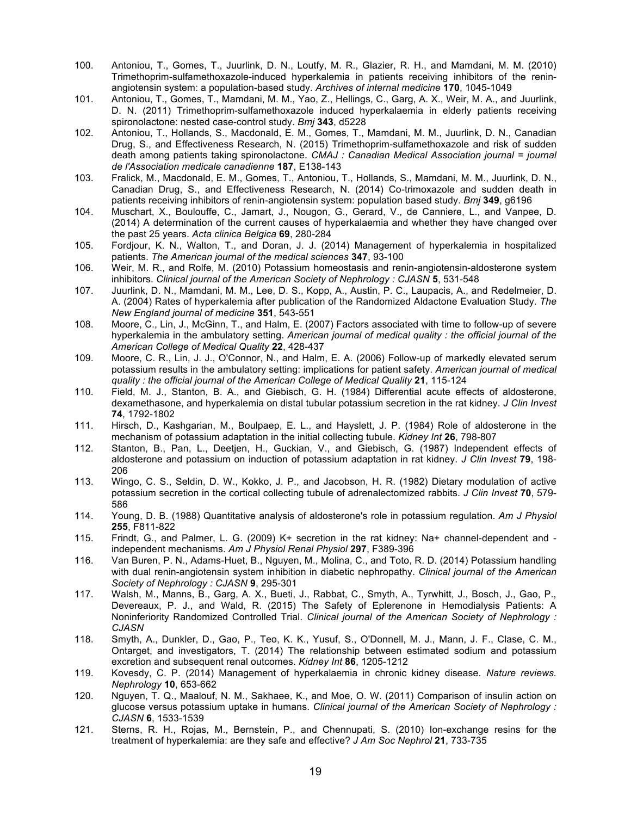- 100. Antoniou, T., Gomes, T., Juurlink, D. N., Loutfy, M. R., Glazier, R. H., and Mamdani, M. M. (2010) Trimethoprim-sulfamethoxazole-induced hyperkalemia in patients receiving inhibitors of the reninangiotensin system: a population-based study. *Archives of internal medicine* **170**, 1045-1049
- 101. Antoniou, T., Gomes, T., Mamdani, M. M., Yao, Z., Hellings, C., Garg, A. X., Weir, M. A., and Juurlink, D. N. (2011) Trimethoprim-sulfamethoxazole induced hyperkalaemia in elderly patients receiving spironolactone: nested case-control study. *Bmj* **343**, d5228
- 102. Antoniou, T., Hollands, S., Macdonald, E. M., Gomes, T., Mamdani, M. M., Juurlink, D. N., Canadian Drug, S., and Effectiveness Research, N. (2015) Trimethoprim-sulfamethoxazole and risk of sudden death among patients taking spironolactone. *CMAJ : Canadian Medical Association journal = journal de l'Association medicale canadienne* **187**, E138-143
- 103. Fralick, M., Macdonald, E. M., Gomes, T., Antoniou, T., Hollands, S., Mamdani, M. M., Juurlink, D. N., Canadian Drug, S., and Effectiveness Research, N. (2014) Co-trimoxazole and sudden death in patients receiving inhibitors of renin-angiotensin system: population based study. *Bmj* **349**, g6196
- 104. Muschart, X., Boulouffe, C., Jamart, J., Nougon, G., Gerard, V., de Canniere, L., and Vanpee, D. (2014) A determination of the current causes of hyperkalaemia and whether they have changed over the past 25 years. *Acta clinica Belgica* **69**, 280-284
- 105. Fordjour, K. N., Walton, T., and Doran, J. J. (2014) Management of hyperkalemia in hospitalized patients. *The American journal of the medical sciences* **347**, 93-100
- 106. Weir, M. R., and Rolfe, M. (2010) Potassium homeostasis and renin-angiotensin-aldosterone system inhibitors. *Clinical journal of the American Society of Nephrology : CJASN* **5**, 531-548
- 107. Juurlink, D. N., Mamdani, M. M., Lee, D. S., Kopp, A., Austin, P. C., Laupacis, A., and Redelmeier, D. A. (2004) Rates of hyperkalemia after publication of the Randomized Aldactone Evaluation Study. *The New England journal of medicine* **351**, 543-551
- 108. Moore, C., Lin, J., McGinn, T., and Halm, E. (2007) Factors associated with time to follow-up of severe hyperkalemia in the ambulatory setting. *American journal of medical quality : the official journal of the American College of Medical Quality* **22**, 428-437
- 109. Moore, C. R., Lin, J. J., O'Connor, N., and Halm, E. A. (2006) Follow-up of markedly elevated serum potassium results in the ambulatory setting: implications for patient safety. *American journal of medical quality : the official journal of the American College of Medical Quality* **21**, 115-124
- 110. Field, M. J., Stanton, B. A., and Giebisch, G. H. (1984) Differential acute effects of aldosterone, dexamethasone, and hyperkalemia on distal tubular potassium secretion in the rat kidney. *J Clin Invest* **74**, 1792-1802
- 111. Hirsch, D., Kashgarian, M., Boulpaep, E. L., and Hayslett, J. P. (1984) Role of aldosterone in the mechanism of potassium adaptation in the initial collecting tubule. *Kidney Int* **26**, 798-807
- 112. Stanton, B., Pan, L., Deetjen, H., Guckian, V., and Giebisch, G. (1987) Independent effects of aldosterone and potassium on induction of potassium adaptation in rat kidney. *J Clin Invest* **79**, 198- 206
- 113. Wingo, C. S., Seldin, D. W., Kokko, J. P., and Jacobson, H. R. (1982) Dietary modulation of active potassium secretion in the cortical collecting tubule of adrenalectomized rabbits. *J Clin Invest* **70**, 579- 586
- 114. Young, D. B. (1988) Quantitative analysis of aldosterone's role in potassium regulation. *Am J Physiol* **255**, F811-822
- 115. Frindt, G., and Palmer, L. G. (2009) K+ secretion in the rat kidney: Na+ channel-dependent and independent mechanisms. *Am J Physiol Renal Physiol* **297**, F389-396
- 116. Van Buren, P. N., Adams-Huet, B., Nguyen, M., Molina, C., and Toto, R. D. (2014) Potassium handling with dual renin-angiotensin system inhibition in diabetic nephropathy. *Clinical journal of the American Society of Nephrology : CJASN* **9**, 295-301
- 117. Walsh, M., Manns, B., Garg, A. X., Bueti, J., Rabbat, C., Smyth, A., Tyrwhitt, J., Bosch, J., Gao, P., Devereaux, P. J., and Wald, R. (2015) The Safety of Eplerenone in Hemodialysis Patients: A Noninferiority Randomized Controlled Trial. *Clinical journal of the American Society of Nephrology : CJASN*
- 118. Smyth, A., Dunkler, D., Gao, P., Teo, K. K., Yusuf, S., O'Donnell, M. J., Mann, J. F., Clase, C. M., Ontarget, and investigators, T. (2014) The relationship between estimated sodium and potassium excretion and subsequent renal outcomes. *Kidney Int* **86**, 1205-1212
- 119. Kovesdy, C. P. (2014) Management of hyperkalaemia in chronic kidney disease. *Nature reviews. Nephrology* **10**, 653-662
- 120. Nguyen, T. Q., Maalouf, N. M., Sakhaee, K., and Moe, O. W. (2011) Comparison of insulin action on glucose versus potassium uptake in humans. *Clinical journal of the American Society of Nephrology : CJASN* **6**, 1533-1539
- 121. Sterns, R. H., Rojas, M., Bernstein, P., and Chennupati, S. (2010) Ion-exchange resins for the treatment of hyperkalemia: are they safe and effective? *J Am Soc Nephrol* **21**, 733-735